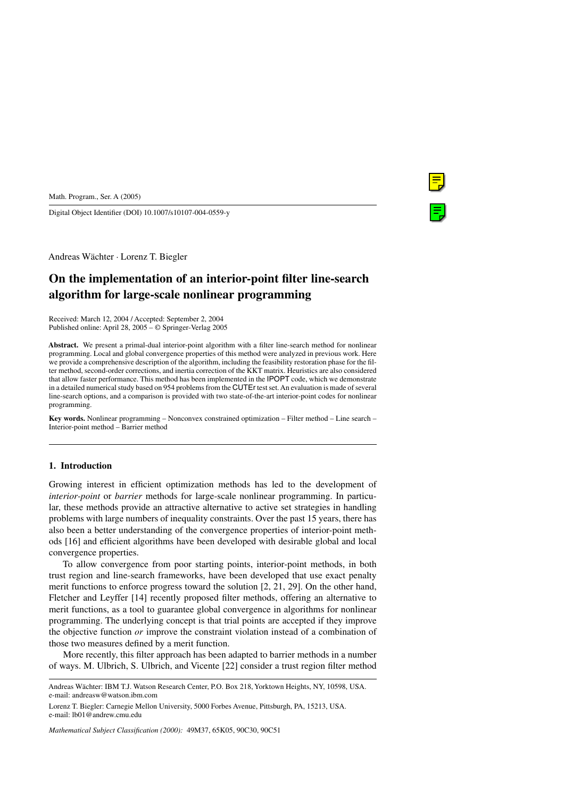Digital Object Identifier (DOI) 10.1007/s10107-004-0559-y

Andreas Wächter · Lorenz T. Biegler

# **On the implementation of an interior-point filter line-search algorithm for large-scale nonlinear programming**

Received: March 12, 2004 / Accepted: September 2, 2004 Published online: April 28, 2005 – © Springer-Verlag 2005

**Abstract.** We present a primal-dual interior-point algorithm with a filter line-search method for nonlinear programming. Local and global convergence properties of this method were analyzed in previous work. Here we provide a comprehensive description of the algorithm, including the feasibility restoration phase for the filter method, second-order corrections, and inertia correction of the KKT matrix. Heuristics are also considered that allow faster performance. This method has been implemented in the IPOPT code, which we demonstrate in a detailed numerical study based on 954 problems from the CUTEr test set. An evaluation is made of several line-search options, and a comparison is provided with two state-of-the-art interior-point codes for nonlinear programming.

**Key words.** Nonlinear programming – Nonconvex constrained optimization – Filter method – Line search – Interior-point method – Barrier method

### **1. Introduction**

Growing interest in efficient optimization methods has led to the development of *interior-point* or *barrier* methods for large-scale nonlinear programming. In particular, these methods provide an attractive alternative to active set strategies in handling problems with large numbers of inequality constraints. Over the past 15 years, there has also been a better understanding of the convergence properties of interior-point methods [16] and efficient algorithms have been developed with desirable global and local convergence properties.

To allow convergence from poor starting points, interior-point methods, in both trust region and line-search frameworks, have been developed that use exact penalty merit functions to enforce progress toward the solution [2, 21, 29]. On the other hand, Fletcher and Leyffer [14] recently proposed filter methods, offering an alternative to merit functions, as a tool to guarantee global convergence in algorithms for nonlinear programming. The underlying concept is that trial points are accepted if they improve the objective function *or* improve the constraint violation instead of a combination of those two measures defined by a merit function.

More recently, this filter approach has been adapted to barrier methods in a number of ways. M. Ulbrich, S. Ulbrich, and Vicente [22] consider a trust region filter method

*Mathematical Subject Classification (2000):* 49M37, 65K05, 90C30, 90C51

Andreas Wächter: IBM T.J. Watson Research Center, P.O. Box 218, Yorktown Heights, NY, 10598, USA. e-mail: andreasw@watson.ibm.com

Lorenz T. Biegler: Carnegie Mellon University, 5000 Forbes Avenue, Pittsburgh, PA, 15213, USA. e-mail: lb01@andrew.cmu.edu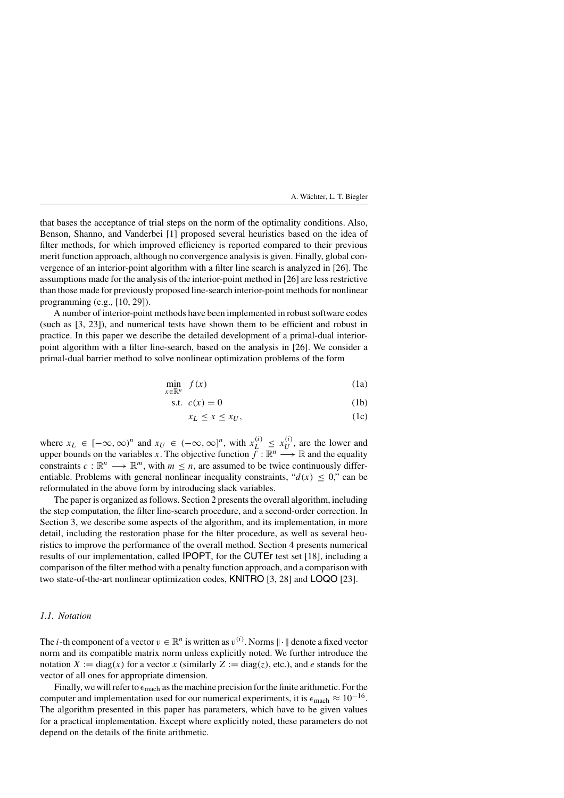that bases the acceptance of trial steps on the norm of the optimality conditions. Also, Benson, Shanno, and Vanderbei [1] proposed several heuristics based on the idea of filter methods, for which improved efficiency is reported compared to their previous merit function approach, although no convergence analysis is given. Finally, global convergence of an interior-point algorithm with a filter line search is analyzed in [26]. The assumptions made for the analysis of the interior-point method in [26] are less restrictive than those made for previously proposed line-search interior-point methods for nonlinear programming (e.g., [10, 29]).

A number of interior-point methods have been implemented in robust software codes (such as [3, 23]), and numerical tests have shown them to be efficient and robust in practice. In this paper we describe the detailed development of a primal-dual interiorpoint algorithm with a filter line-search, based on the analysis in [26]. We consider a primal-dual barrier method to solve nonlinear optimization problems of the form

$$
\min_{x \in \mathbb{R}^n} f(x) \tag{1a}
$$

$$
s.t. \ c(x) = 0 \tag{1b}
$$

$$
x_L \le x \le x_U,\tag{1c}
$$

where  $x_L \in [-\infty, \infty)^n$  and  $x_U \in (-\infty, \infty]^n$ , with  $x_L^{(i)} \le x_U^{(i)}$ , are the lower and upper bounds on the variables *x*. The objective function  $\overrightarrow{f} : \mathbb{R}^n \longrightarrow \mathbb{R}$  and the equality constraints  $c : \mathbb{R}^n \longrightarrow \mathbb{R}^m$ , with  $m \leq n$ , are assumed to be twice continuously differentiable. Problems with general nonlinear inequality constraints, " $d(x) \leq 0$ ," can be reformulated in the above form by introducing slack variables.

The paper is organized as follows. Section 2 presents the overall algorithm, including the step computation, the filter line-search procedure, and a second-order correction. In Section 3, we describe some aspects of the algorithm, and its implementation, in more detail, including the restoration phase for the filter procedure, as well as several heuristics to improve the performance of the overall method. Section 4 presents numerical results of our implementation, called IPOPT, for the CUTEr test set [18], including a comparison of the filter method with a penalty function approach, and a comparison with two state-of-the-art nonlinear optimization codes, KNITRO [3, 28] and LOQO [23].

# *1.1. Notation*

The *i*-th component of a vector  $v \in \mathbb{R}^n$  is written as  $v^{(i)}$ . Norms  $\|\cdot\|$  denote a fixed vector norm and its compatible matrix norm unless explicitly noted. We further introduce the notation *X* := diag(*x*) for a vector *x* (similarly *Z* := diag(*z*), etc.), and *e* stands for the vector of all ones for appropriate dimension.

Finally, we will refer to  $\epsilon_{\text{mach}}$  as the machine precision for the finite arithmetic. For the computer and implementation used for our numerical experiments, it is  $\epsilon_{\text{mach}} \approx 10^{-16}$ . The algorithm presented in this paper has parameters, which have to be given values for a practical implementation. Except where explicitly noted, these parameters do not depend on the details of the finite arithmetic.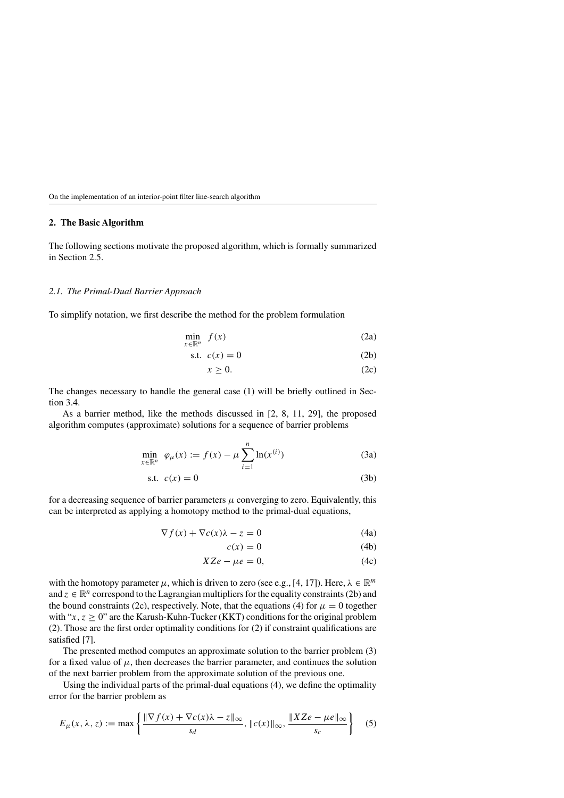### **2. The Basic Algorithm**

The following sections motivate the proposed algorithm, which is formally summarized in Section 2.5.

# *2.1. The Primal-Dual Barrier Approach*

To simplify notation, we first describe the method for the problem formulation

$$
\min_{x \in \mathbb{R}^n} f(x) \tag{2a}
$$

$$
s.t. \ c(x) = 0 \tag{2b}
$$

$$
x \ge 0. \tag{2c}
$$

The changes necessary to handle the general case (1) will be briefly outlined in Section 3.4.

As a barrier method, like the methods discussed in [2, 8, 11, 29], the proposed algorithm computes (approximate) solutions for a sequence of barrier problems

$$
\min_{x \in \mathbb{R}^n} \varphi_{\mu}(x) := f(x) - \mu \sum_{i=1}^n \ln(x^{(i)})
$$
 (3a)

$$
s.t. \ c(x) = 0 \tag{3b}
$$

for a decreasing sequence of barrier parameters  $\mu$  converging to zero. Equivalently, this can be interpreted as applying a homotopy method to the primal-dual equations,

$$
\nabla f(x) + \nabla c(x)\lambda - z = 0 \tag{4a}
$$

$$
c(x) = 0 \tag{4b}
$$

$$
XZe - \mu e = 0,\t(4c)
$$

with the homotopy parameter  $\mu$ , which is driven to zero (see e.g., [4, 17]). Here,  $\lambda \in \mathbb{R}^m$ and  $z \in \mathbb{R}^n$  correspond to the Lagrangian multipliers for the equality constraints (2b) and the bound constraints (2c), respectively. Note, that the equations (4) for  $\mu = 0$  together with " $x, z \ge 0$ " are the Karush-Kuhn-Tucker (KKT) conditions for the original problem (2). Those are the first order optimality conditions for (2) if constraint qualifications are satisfied [7].

The presented method computes an approximate solution to the barrier problem (3) for a fixed value of  $\mu$ , then decreases the barrier parameter, and continues the solution of the next barrier problem from the approximate solution of the previous one.

Using the individual parts of the primal-dual equations (4), we define the optimality error for the barrier problem as

$$
E_{\mu}(x,\lambda,z) := \max\left\{ \frac{\|\nabla f(x) + \nabla c(x)\lambda - z\|_{\infty}}{s_d}, \|c(x)\|_{\infty}, \frac{\|XZe - \mu e\|_{\infty}}{s_c} \right\}
$$
(5)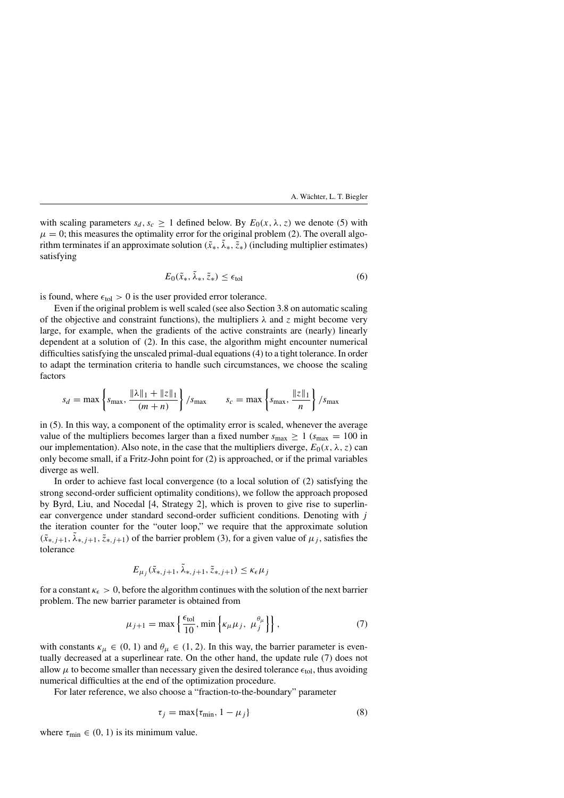with scaling parameters  $s_d$ ,  $s_c \geq 1$  defined below. By  $E_0(x, \lambda, z)$  we denote (5) with  $\mu = 0$ ; this measures the optimality error for the original problem (2). The overall algorithm terminates if an approximate solution  $(\tilde{x}_*, \lambda_*, \tilde{z}_*)$  (including multiplier estimates) satisfying

$$
E_0(\tilde{x}_*, \tilde{\lambda}_*, \tilde{z}_*) \le \epsilon_{\text{tol}} \tag{6}
$$

is found, where  $\epsilon_{\text{tol}} > 0$  is the user provided error tolerance.

Even if the original problem is well scaled (see also Section 3.8 on automatic scaling of the objective and constraint functions), the multipliers  $\lambda$  and  $\zeta$  might become very large, for example, when the gradients of the active constraints are (nearly) linearly dependent at a solution of (2). In this case, the algorithm might encounter numerical difficulties satisfying the unscaled primal-dual equations (4) to a tight tolerance. In order to adapt the termination criteria to handle such circumstances, we choose the scaling factors

$$
s_d = \max \left\{ s_{\max}, \frac{\|\lambda\|_1 + \|z\|_1}{(m+n)} \right\} / s_{\max} \qquad s_c = \max \left\{ s_{\max}, \frac{\|z\|_1}{n} \right\} / s_{\max}
$$

in (5). In this way, a component of the optimality error is scaled, whenever the average value of the multipliers becomes larger than a fixed number  $s_{\text{max}} \ge 1$  ( $s_{\text{max}} = 100$  in our implementation). Also note, in the case that the multipliers diverge,  $E_0(x, \lambda, z)$  can only become small, if a Fritz-John point for (2) is approached, or if the primal variables diverge as well.

In order to achieve fast local convergence (to a local solution of (2) satisfying the strong second-order sufficient optimality conditions), we follow the approach proposed by Byrd, Liu, and Nocedal [4, Strategy 2], which is proven to give rise to superlinear convergence under standard second-order sufficient conditions. Denoting with *j* the iteration counter for the "outer loop," we require that the approximate solution  $(\tilde{x}_{*,j+1}, \lambda_{*,j+1}, \tilde{z}_{*,j+1})$  of the barrier problem (3), for a given value of  $\mu_j$ , satisfies the tolerance

$$
E_{\mu_j}(\tilde{x}_{*,j+1}, \tilde{\lambda}_{*,j+1}, \tilde{z}_{*,j+1}) \le \kappa_{\epsilon} \mu_j
$$

for a constant  $\kappa_{\epsilon} > 0$ , before the algorithm continues with the solution of the next barrier problem. The new barrier parameter is obtained from

$$
\mu_{j+1} = \max\left\{\frac{\epsilon_{\text{tol}}}{10}, \min\left\{\kappa_{\mu}\mu_j, \ \mu_j^{\theta_{\mu}}\right\}\right\},\tag{7}
$$

with constants  $\kappa_{\mu} \in (0, 1)$  and  $\theta_{\mu} \in (1, 2)$ . In this way, the barrier parameter is eventually decreased at a superlinear rate. On the other hand, the update rule (7) does not allow  $\mu$  to become smaller than necessary given the desired tolerance  $\epsilon_{tol}$ , thus avoiding numerical difficulties at the end of the optimization procedure.

For later reference, we also choose a "fraction-to-the-boundary" parameter

$$
\tau_j = \max\{\tau_{\min}, 1 - \mu_j\} \tag{8}
$$

where  $\tau_{\text{min}} \in (0, 1)$  is its minimum value.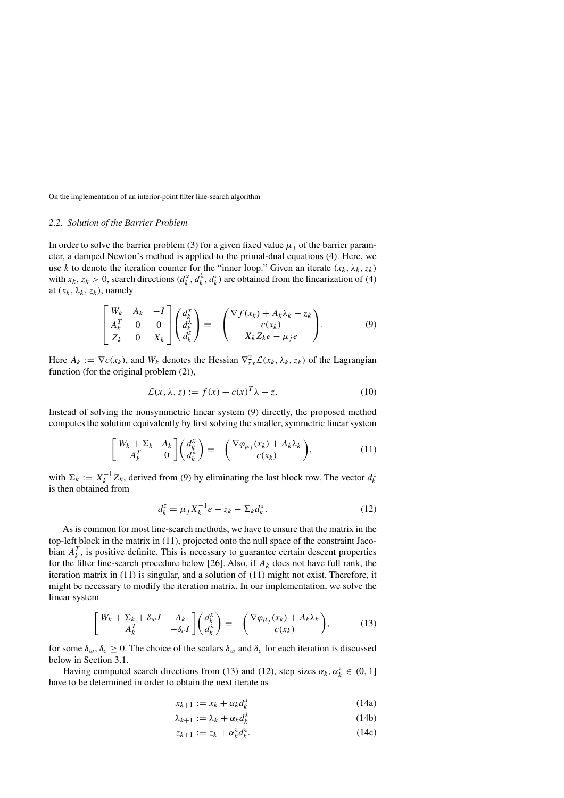### *2.2. Solution of the Barrier Problem*

In order to solve the barrier problem (3) for a given fixed value  $\mu_i$  of the barrier parameter, a damped Newton's method is applied to the primal-dual equations (4). Here, we use *k* to denote the iteration counter for the "inner loop." Given an iterate  $(x_k, \lambda_k, z_k)$ with  $x_k$ ,  $z_k > 0$ , search directions  $(d_k^x, d_k^{\lambda}, d_k^z)$  are obtained from the linearization of (4) at  $(x_k, \lambda_k, z_k)$ , namely

$$
\begin{bmatrix} W_k & A_k & -I \\ A_k^T & 0 & 0 \\ Z_k & 0 & X_k \end{bmatrix} \begin{pmatrix} d_k^x \\ d_k^{\lambda} \\ d_k^z \end{pmatrix} = - \begin{pmatrix} \nabla f(x_k) + A_k \lambda_k - z_k \\ c(x_k) \\ X_k Z_k e - \mu_j e \end{pmatrix} . \tag{9}
$$

Here  $A_k := \nabla c(x_k)$ , and  $W_k$  denotes the Hessian  $\nabla^2_{xx} \mathcal{L}(x_k, \lambda_k, z_k)$  of the Lagrangian function (for the original problem  $(2)$ ),

$$
\mathcal{L}(x,\lambda,z) := f(x) + c(x)^T \lambda - z.
$$
 (10)

Instead of solving the nonsymmetric linear system (9) directly, the proposed method computes the solution equivalently by first solving the smaller, symmetric linear system

$$
\begin{bmatrix} W_k + \Sigma_k & A_k \ A_k^T & 0 \end{bmatrix} \begin{pmatrix} d_k^x \\ d_k^x \end{pmatrix} = - \begin{pmatrix} \nabla \varphi_{\mu_j}(x_k) + A_k \lambda_k \\ c(x_k) \end{pmatrix},
$$
(11)

with  $\Sigma_k := X_k^{-1} Z_k$ , derived from (9) by eliminating the last block row. The vector  $d_k^z$ is then obtained from

$$
d_k^z = \mu_j X_k^{-1} e - z_k - \Sigma_k d_k^x.
$$
 (12)

As is common for most line-search methods, we have to ensure that the matrix in the top-left block in the matrix in (11), projected onto the null space of the constraint Jacobian  $A_k^T$ , is positive definite. This is necessary to guarantee certain descent properties for the filter line-search procedure below [26]. Also, if  $A_k$  does not have full rank, the iteration matrix in (11) is singular, and a solution of (11) might not exist. Therefore, it might be necessary to modify the iteration matrix. In our implementation, we solve the linear system

$$
\begin{bmatrix} W_k + \Sigma_k + \delta_w I & A_k \\ A_k^T & -\delta_c I \end{bmatrix} \begin{pmatrix} d_k^x \\ d_k^{\lambda} \end{pmatrix} = - \begin{pmatrix} \nabla \varphi_{\mu_j}(x_k) + A_k \lambda_k \\ c(x_k) \end{pmatrix}, \tag{13}
$$

for some  $\delta_w$ ,  $\delta_c \geq 0$ . The choice of the scalars  $\delta_w$  and  $\delta_c$  for each iteration is discussed below in Section 3.1.

Having computed search directions from (13) and (12), step sizes  $\alpha_k, \alpha_k^z \in (0, 1]$ have to be determined in order to obtain the next iterate as

$$
x_{k+1} := x_k + \alpha_k d_k^x \tag{14a}
$$

$$
\lambda_{k+1} := \lambda_k + \alpha_k d_k^{\lambda} \tag{14b}
$$

$$
z_{k+1} := z_k + \alpha_k^z d_k^z. \tag{14c}
$$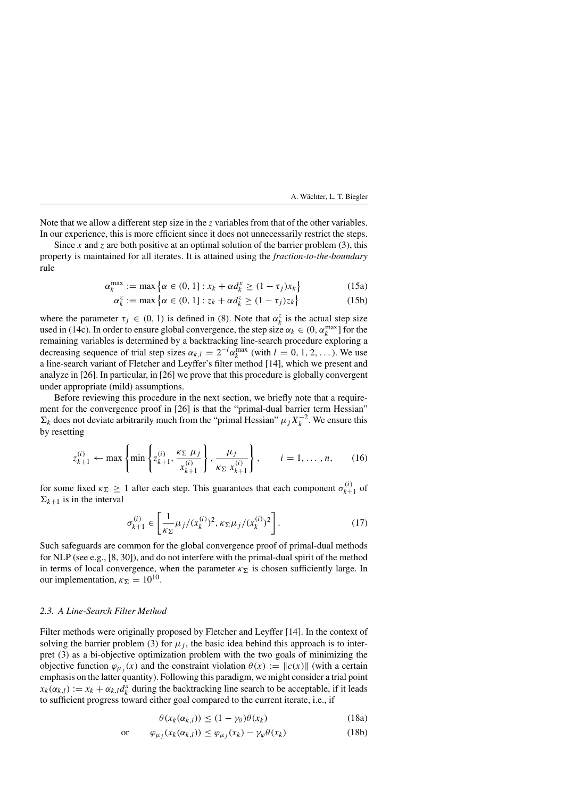Note that we allow a different step size in the *z* variables from that of the other variables. In our experience, this is more efficient since it does not unnecessarily restrict the steps.

Since *x* and *z* are both positive at an optimal solution of the barrier problem (3), this property is maintained for all iterates. It is attained using the *fraction-to-the-boundary* rule

$$
\alpha_k^{\max} := \max \left\{ \alpha \in (0, 1] : x_k + \alpha d_k^x \ge (1 - \tau_j) x_k \right\} \tag{15a}
$$

$$
\alpha_k^z := \max \left\{ \alpha \in (0, 1] : z_k + \alpha d_k^z \ge (1 - \tau_j) z_k \right\} \tag{15b}
$$

where the parameter  $\tau_j \in (0, 1)$  is defined in (8). Note that  $\alpha_k^z$  is the actual step size used in (14c). In order to ensure global convergence, the step size  $\alpha_k \in (0, \alpha_k^{\max}]$  for the remaining variables is determined by a backtracking line-search procedure exploring a decreasing sequence of trial step sizes  $\alpha_{k,l} = 2^{-l} \alpha_k^{\max}$  (with  $l = 0, 1, 2, \dots$ ). We use a line-search variant of Fletcher and Leyffer's filter method [14], which we present and analyze in [26]. In particular, in [26] we prove that this procedure is globally convergent under appropriate (mild) assumptions.

Before reviewing this procedure in the next section, we briefly note that a requirement for the convergence proof in [26] is that the "primal-dual barrier term Hessian"  $\Sigma_k$  does not deviate arbitrarily much from the "primal Hessian"  $\mu_j X_k^{-2}$ . We ensure this by resetting

$$
z_{k+1}^{(i)} \leftarrow \max\left\{\min\left\{z_{k+1}^{(i)}, \frac{\kappa_{\Sigma} \mu_j}{x_{k+1}^{(i)}}\right\}, \frac{\mu_j}{\kappa_{\Sigma} x_{k+1}^{(i)}}\right\}, \qquad i = 1, \dots, n, \qquad (16)
$$

for some fixed  $\kappa_{\Sigma} \ge 1$  after each step. This guarantees that each component  $\sigma_{k+1}^{(i)}$  of  $\Sigma_{k+1}$  is in the interval

$$
\sigma_{k+1}^{(i)} \in \left[\frac{1}{\kappa_{\Sigma}}\mu_j/(x_k^{(i)})^2, \kappa_{\Sigma}\mu_j/(x_k^{(i)})^2\right].
$$
 (17)

Such safeguards are common for the global convergence proof of primal-dual methods for NLP (see e.g., [8, 30]), and do not interfere with the primal-dual spirit of the method in terms of local convergence, when the parameter  $\kappa_{\Sigma}$  is chosen sufficiently large. In our implementation,  $\kappa_{\Sigma} = 10^{10}$ .

### *2.3. A Line-Search Filter Method*

Filter methods were originally proposed by Fletcher and Leyffer [14]. In the context of solving the barrier problem (3) for  $\mu_j$ , the basic idea behind this approach is to interpret (3) as a bi-objective optimization problem with the two goals of minimizing the objective function  $\varphi_{\mu}$ ; (x) and the constraint violation  $\theta(x) := ||c(x)||$  (with a certain emphasis on the latter quantity). Following this paradigm, we might consider a trial point  $x_k(\alpha_{k,l}) := x_k + \alpha_{k,l} d_k^x$  during the backtracking line search to be acceptable, if it leads to sufficient progress toward either goal compared to the current iterate, i.e., if

$$
\theta(x_k(\alpha_{k,l})) \le (1 - \gamma_\theta)\theta(x_k) \tag{18a}
$$

$$
\text{or} \qquad \varphi_{\mu_j}(x_k(\alpha_{k,l})) \le \varphi_{\mu_j}(x_k) - \gamma_\varphi \theta(x_k) \tag{18b}
$$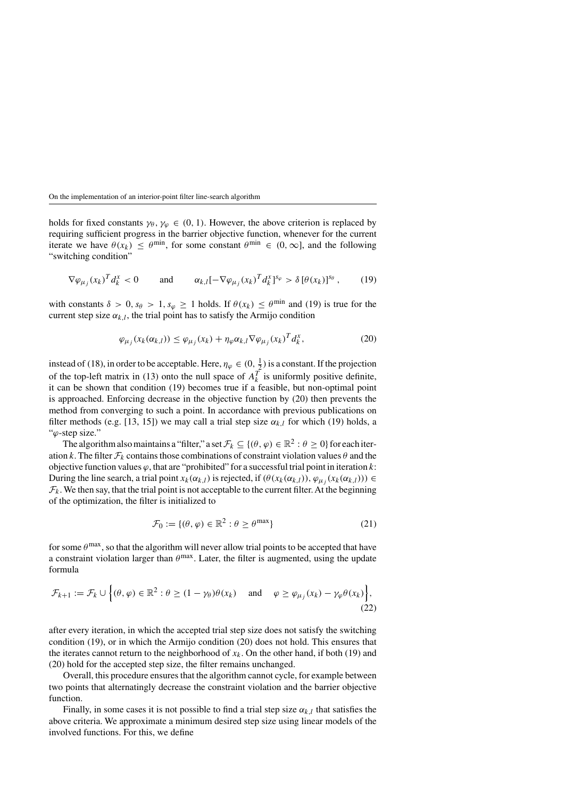holds for fixed constants  $\gamma_{\theta}, \gamma_{\varphi} \in (0, 1)$ . However, the above criterion is replaced by requiring sufficient progress in the barrier objective function, whenever for the current iterate we have  $\theta(x_k) \leq \theta^{\min}$ , for some constant  $\theta^{\min} \in (0, \infty]$ , and the following "switching condition"

$$
\nabla \varphi_{\mu_j}(x_k)^T d_k^x < 0 \qquad \text{and} \qquad \alpha_{k,l} \left[ -\nabla \varphi_{\mu_j}(x_k)^T d_k^x \right]^{s_\varphi} > \delta \left[ \theta(x_k) \right]^{s_\theta}, \tag{19}
$$

with constants  $\delta > 0$ ,  $s_\theta > 1$ ,  $s_\varphi \ge 1$  holds. If  $\theta(x_k) \le \theta^{\min}$  and (19) is true for the current step size  $\alpha_{k,l}$ , the trial point has to satisfy the Armijo condition

$$
\varphi_{\mu_j}(x_k(\alpha_{k,l})) \le \varphi_{\mu_j}(x_k) + \eta_{\varphi}\alpha_{k,l}\nabla\varphi_{\mu_j}(x_k)^T d_k^x, \tag{20}
$$

instead of (18), in order to be acceptable. Here,  $\eta_{\varphi} \in (0, \frac{1}{2})$  is a constant. If the projection of the top-left matrix in (13) onto the null space of  $A_k^T$  is uniformly positive definite, it can be shown that condition (19) becomes true if a feasible, but non-optimal point is approached. Enforcing decrease in the objective function by (20) then prevents the method from converging to such a point. In accordance with previous publications on filter methods (e.g. [13, 15]) we may call a trial step size  $\alpha_{k,l}$  for which (19) holds, a "*ϕ*-step size."

The algorithm also maintains a "filter," a set  $\mathcal{F}_k \subseteq \{(\theta, \varphi) \in \mathbb{R}^2 : \theta \geq 0\}$  for each iteration *k*. The filter  $\mathcal{F}_k$  contains those combinations of constraint violation values  $\theta$  and the objective function values *ϕ*, that are "prohibited" for a successful trial point in iteration *k*: During the line search, a trial point  $x_k(\alpha_{k,l})$  is rejected, if  $(\theta(x_k(\alpha_{k,l})) , \varphi_{\mu} (x_k(\alpha_{k,l}))) \in$  $\mathcal{F}_k$ . We then say, that the trial point is not acceptable to the current filter. At the beginning of the optimization, the filter is initialized to

$$
\mathcal{F}_0 := \{ (\theta, \varphi) \in \mathbb{R}^2 : \theta \ge \theta^{\max} \}
$$
 (21)

for some  $\theta^{\text{max}}$ , so that the algorithm will never allow trial points to be accepted that have a constraint violation larger than  $\theta^{\text{max}}$ . Later, the filter is augmented, using the update formula

$$
\mathcal{F}_{k+1} := \mathcal{F}_k \cup \left\{ (\theta, \varphi) \in \mathbb{R}^2 : \theta \ge (1 - \gamma_\theta) \theta(x_k) \quad \text{and} \quad \varphi \ge \varphi_{\mu_j}(x_k) - \gamma_\varphi \theta(x_k) \right\},\tag{22}
$$

after every iteration, in which the accepted trial step size does not satisfy the switching condition (19), or in which the Armijo condition (20) does not hold. This ensures that the iterates cannot return to the neighborhood of  $x_k$ . On the other hand, if both (19) and (20) hold for the accepted step size, the filter remains unchanged.

Overall, this procedure ensures that the algorithm cannot cycle, for example between two points that alternatingly decrease the constraint violation and the barrier objective function.

Finally, in some cases it is not possible to find a trial step size  $\alpha_{k,l}$  that satisfies the above criteria. We approximate a minimum desired step size using linear models of the involved functions. For this, we define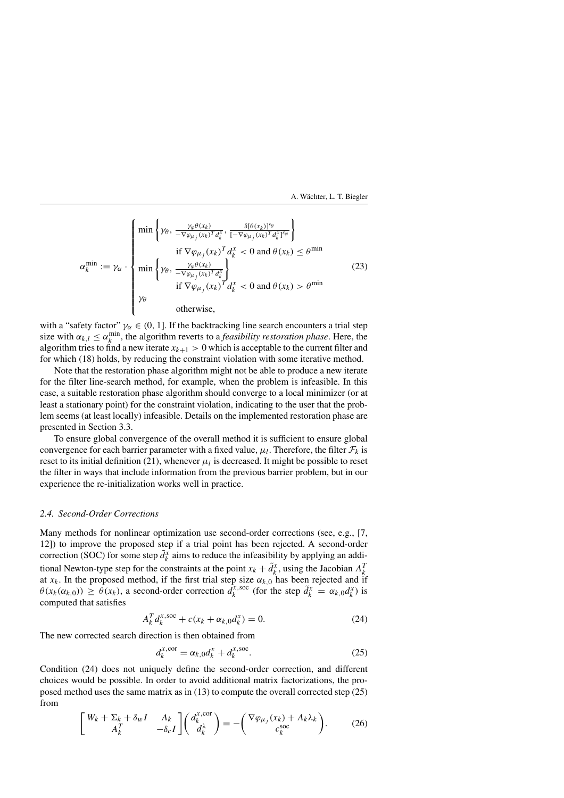$$
\alpha_k^{\min} := \gamma_\alpha \cdot \begin{cases}\n\min \left\{ \gamma_\theta, \frac{\gamma_\varphi \theta(x_k)}{-\nabla \varphi_{\mu_j}(x_k)^T d_k^x}, \frac{\delta[\theta(x_k)]^{\gamma_\theta}}{[-\nabla \varphi_{\mu_j}(x_k)^T d_k^x]^{\gamma_\varphi}} \right\} \\
\text{if } \nabla \varphi_{\mu_j}(x_k)^T d_k^x < 0 \text{ and } \theta(x_k) \le \theta^{\min} \\
\min \left\{ \gamma_\theta, \frac{\gamma_\varphi \theta(x_k)}{-\nabla \varphi_{\mu_j}(x_k)^T d_k^x} \right\} \\
\text{if } \nabla \varphi_{\mu_j}(x_k)^T d_k^x < 0 \text{ and } \theta(x_k) > \theta^{\min} \\
\gamma_\theta\n\end{cases}\n\tag{23}
$$

with a "safety factor"  $\gamma_{\alpha} \in (0, 1]$ . If the backtracking line search encounters a trial step size with  $\alpha_{k,l} \leq \alpha_k^{\min}$ , the algorithm reverts to a *feasibility restoration phase*. Here, the algorithm tries to find a new iterate  $x_{k+1} > 0$  which is acceptable to the current filter and for which (18) holds, by reducing the constraint violation with some iterative method.

Note that the restoration phase algorithm might not be able to produce a new iterate for the filter line-search method, for example, when the problem is infeasible. In this case, a suitable restoration phase algorithm should converge to a local minimizer (or at least a stationary point) for the constraint violation, indicating to the user that the problem seems (at least locally) infeasible. Details on the implemented restoration phase are presented in Section 3.3.

To ensure global convergence of the overall method it is sufficient to ensure global convergence for each barrier parameter with a fixed value,  $\mu_l$ . Therefore, the filter  $\mathcal{F}_k$  is reset to its initial definition  $(21)$ , whenever  $\mu_l$  is decreased. It might be possible to reset the filter in ways that include information from the previous barrier problem, but in our experience the re-initialization works well in practice.

### *2.4. Second-Order Corrections*

Many methods for nonlinear optimization use second-order corrections (see, e.g., [7, 12]) to improve the proposed step if a trial point has been rejected. A second-order correction (SOC) for some step  $\tilde{d}_k^x$  aims to reduce the infeasibility by applying an additional Newton-type step for the constraints at the point  $x_k + \tilde{d}_k^x$ , using the Jacobian  $A_k^T$ at  $x_k$ . In the proposed method, if the first trial step size  $\alpha_{k,0}$  has been rejected and if  $\theta(x_k(\alpha_{k,0})) \geq \theta(x_k)$ , a second-order correction  $d_k^{x,\text{soc}}$  (for the step  $\tilde{d}_k^x = \alpha_{k,0}d_k^x$ ) is computed that satisfies

$$
A_k^T d_k^{x,\text{soc}} + c(x_k + \alpha_{k,0} d_k^x) = 0.
$$
 (24)

The new corrected search direction is then obtained from

$$
d_k^{x,\text{cor}} = \alpha_{k,0} d_k^x + d_k^{x,\text{soc}}.\tag{25}
$$

Condition (24) does not uniquely define the second-order correction, and different choices would be possible. In order to avoid additional matrix factorizations, the proposed method uses the same matrix as in (13) to compute the overall corrected step (25) from

$$
\begin{bmatrix} W_k + \Sigma_k + \delta_w I & A_k \\ A_k^T & -\delta_c I \end{bmatrix} \begin{pmatrix} d_k^{x,\text{cor}} \\ d_k^{\lambda} \end{pmatrix} = - \begin{pmatrix} \nabla \varphi_{\mu_j}(x_k) + A_k \lambda_k \\ c_k^{\text{soc}} \end{pmatrix} . \tag{26}
$$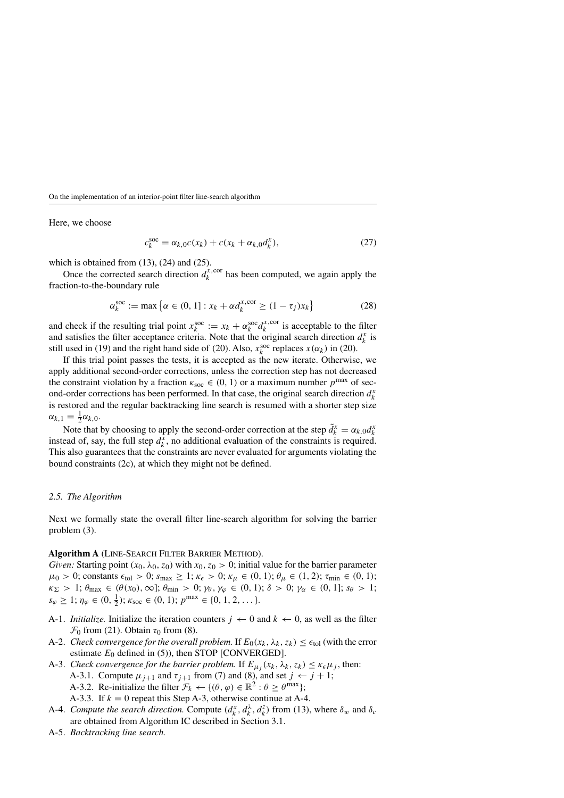Here, we choose

$$
c_k^{\text{soc}} = \alpha_{k,0}c(x_k) + c(x_k + \alpha_{k,0}d_k^x),
$$
\n(27)

which is obtained from  $(13)$ ,  $(24)$  and  $(25)$ .

Once the corrected search direction  $d_k^{x,\text{cor}}$  has been computed, we again apply the fraction-to-the-boundary rule

$$
\alpha_k^{\text{soc}} := \max \left\{ \alpha \in (0, 1] : x_k + \alpha d_k^{x, \text{cor}} \ge (1 - \tau_j) x_k \right\} \tag{28}
$$

and check if the resulting trial point  $x_k^{\text{soc}} := x_k + \alpha_k^{\text{soc}} d_k^{x,\text{cor}}$  is acceptable to the filter and satisfies the filter acceptance criteria. Note that the original search direction  $d_k^x$  is still used in (19) and the right hand side of (20). Also,  $x_k^{soc}$  replaces  $x(\alpha_k)$  in (20).

If this trial point passes the tests, it is accepted as the new iterate. Otherwise, we apply additional second-order corrections, unless the correction step has not decreased the constraint violation by a fraction  $\kappa_{\rm soc} \in (0, 1)$  or a maximum number  $p^{\max}$  of second-order corrections has been performed. In that case, the original search direction  $d_k^x$ is restored and the regular backtracking line search is resumed with a shorter step size  $\alpha_{k,1} = \frac{1}{2} \alpha_{k,0}.$ 

Note that by choosing to apply the second-order correction at the step  $\tilde{d}_k^x = \alpha_{k,0} d_k^x$ instead of, say, the full step  $d_k^x$ , no additional evaluation of the constraints is required. This also guarantees that the constraints are never evaluated for arguments violating the bound constraints (2c), at which they might not be defined.

### *2.5. The Algorithm*

Next we formally state the overall filter line-search algorithm for solving the barrier problem (3).

### **Algorithm A** (Line-Search Filter Barrier Method).

*Given:* Starting point  $(x_0, \lambda_0, z_0)$  with  $x_0, z_0 > 0$ ; initial value for the barrier parameter  $\mu_0 > 0$ ; constants  $\epsilon_{tol} > 0$ ;  $s_{max} \geq 1$ ;  $\kappa_{\epsilon} > 0$ ;  $\kappa_{\mu} \in (0, 1)$ ;  $\theta_{\mu} \in (1, 2)$ ;  $\tau_{min} \in (0, 1)$ ;  $\kappa_{\Sigma} > 1$ ;  $\theta_{\max} \in (\theta(x_0), \infty]$ ;  $\theta_{\min} > 0$ ;  $\gamma_{\theta}, \gamma_{\varphi} \in (0, 1)$ ;  $\delta > 0$ ;  $\gamma_{\alpha} \in (0, 1]$ ;  $s_{\theta} > 1$ ;  $s_{\varphi} \geq 1; \eta_{\varphi} \in (0, \frac{1}{2}); \kappa_{\text{soc}} \in (0, 1); p^{\max} \in \{0, 1, 2, \dots\}.$ 

- A-1. *Initialize*. Initialize the iteration counters  $j \leftarrow 0$  and  $k \leftarrow 0$ , as well as the filter  $\mathcal{F}_0$  from (21). Obtain  $\tau_0$  from (8).
- A-2. *Check convergence for the overall problem.* If  $E_0(x_k, \lambda_k, z_k) \leq \epsilon_{tol}$  (with the error estimate  $E_0$  defined in (5)), then STOP [CONVERGED].
- A-3. *Check convergence for the barrier problem.* If  $E_{\mu_j}(x_k, \lambda_k, z_k) \leq \kappa_{\epsilon} \mu_j$ , then:
	- A-3.1. Compute  $\mu_{i+1}$  and  $\tau_{i+1}$  from (7) and (8), and set  $j \leftarrow j+1$ ;
	- A-3.2. Re-initialize the filter  $\mathcal{F}_k \leftarrow \{(\theta, \varphi) \in \mathbb{R}^2 : \theta \ge \theta^{\max}\};$
	- A-3.3. If  $k = 0$  repeat this Step A-3, otherwise continue at A-4.
- A-4. *Compute the search direction.* Compute  $(d_k^x, d_k^{\lambda}, d_k^z)$  from (13), where  $\delta_w$  and  $\delta_c$ are obtained from Algorithm IC described in Section 3.1.
- A-5. *Backtracking line search.*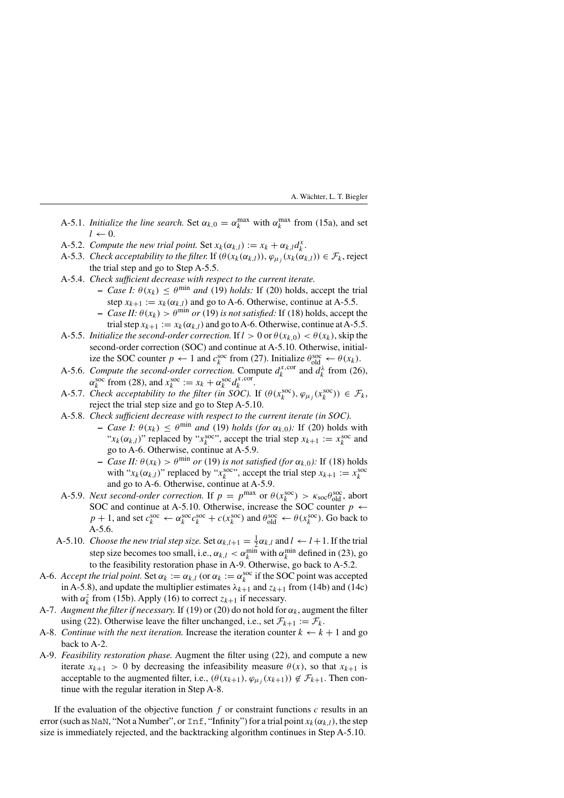- A-5.1. *Initialize the line search*. Set  $\alpha_{k,0} = \alpha_k^{\max}$  with  $\alpha_k^{\max}$  from (15a), and set  $l \leftarrow 0$ .
- A-5.2. *Compute the new trial point.* Set  $x_k(\alpha_{k,l}) := x_k + \alpha_{k,l} d_k^x$ .
- A-5.3. *Check acceptability to the filter.* If  $(\theta(x_k(\alpha_{k,l}))$ ,  $\varphi_{\mu}$ ,  $(x_k(\alpha_{k,l})) \in \mathcal{F}_k$ , reject the trial step and go to Step A-5.5.
- A-5.4. *Check sufficient decrease with respect to the current iterate.*
	- **–** *Case I:*  $\theta(x_k) \leq \theta^{\min}$  *and* (19) *holds:* If (20) holds, accept the trial step  $x_{k+1} := x_k(\alpha_{k,l})$  and go to A-6. Otherwise, continue at A-5.5.
	- **–** *Case II:*  $\theta(x_k) > \theta^{\min}$  *or* (19) *is not satisfied:* If (18) holds, accept the trial step  $x_{k+1} := x_k(\alpha_{k,l})$  and go to A-6. Otherwise, continue at A-5.5.
- A-5.5. *Initialize the second-order correction.* If  $l > 0$  or  $\theta(x_{k,0}) < \theta(x_k)$ , skip the second-order correction (SOC) and continue at A-5.10. Otherwise, initialize the SOC counter  $p \leftarrow 1$  and  $c_k^{\text{soc}}$  from (27). Initialize  $\theta_{\text{old}}^{\text{soc}} \leftarrow \theta(x_k)$ .
- A-5.6. *Compute the second-order correction.* Compute  $d_k^{x,\text{cor}}$  and  $d_k^{\lambda}$  from (26),  $\alpha_k^{\text{soc}}$  from (28), and  $x_k^{\text{soc}} := x_k + \alpha_k^{\text{soc}} d_k^{x,\text{cor}}$ .
- A-5.7. *Check acceptability to the filter (in SOC).* If  $(\theta(x_k^{\text{soc}}), \varphi_{\mu_j}(x_k^{\text{soc}})) \in \mathcal{F}_k$ , reject the trial step size and go to Step A-5.10.
- A-5.8. *Check sufficient decrease with respect to the current iterate (in SOC).*
	- **−** *Case I:*  $\theta(x_k)$  ≤  $\theta$ <sup>min</sup> *and* (19) *holds (for*  $\alpha_{k,0}$ *):* If (20) holds with " $x_k(\alpha_{k,l})$ " replaced by " $x_k^{\text{soc}}$ ", accept the trial step  $x_{k+1} := x_k^{\text{soc}}$  and go to A-6. Otherwise, continue at A-5.9.
	- **–** *Case II:*  $θ(x_k) > θ^{\min}$  *or* (19) *is not satisfied (for*  $α_{k,0}$ *):* If (18) holds with " $x_k(\alpha_{k,l})$ " replaced by " $x_k^{\text{soc}}$ ", accept the trial step  $x_{k+1} := x_k^{\text{soc}}$ and go to A-6. Otherwise, continue at A-5.9.
- A-5.9. *Next second-order correction.* If  $p = p^{\max}$  or  $\theta(x_k^{\text{soc}}) > \kappa_{\text{soc}}\theta_{\text{old}}^{\text{soc}}$ , abort SOC and continue at A-5.10. Otherwise, increase the SOC counter  $p \leftarrow$  $p + 1$ , and set  $c_k^{\text{soc}} \leftarrow \alpha_k^{\text{soc}} c_k^{\text{soc}} + c(x_k^{\text{soc}})$  and  $\theta_{\text{old}}^{\text{soc}} \leftarrow \theta(x_k^{\text{soc}})$ . Go back to A-5.6.
- A-5.10. *Choose the new trial step size.* Set  $\alpha_{k,l+1} = \frac{1}{2}\alpha_{k,l}$  and  $l \leftarrow l+1$ . If the trial step size becomes too small, i.e.,  $\alpha_{k,l} < \alpha_k^{\min}$  with  $\alpha_k^{\min}$  defined in (23), go to the feasibility restoration phase in A-9. Otherwise, go back to A-5.2.
- A-6. *Accept the trial point.* Set  $\alpha_k := \alpha_{k,l}$  (or  $\alpha_k := \alpha_k^{\text{soc}}$  if the SOC point was accepted in A-5.8), and update the multiplier estimates  $\lambda_{k+1}$  and  $z_{k+1}$  from (14b) and (14c) with  $\alpha_k^z$  from (15b). Apply (16) to correct  $z_{k+1}$  if necessary.
- A-7. *Augment the filter if necessary*. If (19) or (20) do not hold for  $\alpha_k$ , augment the filter using (22). Otherwise leave the filter unchanged, i.e., set  $\mathcal{F}_{k+1} := \mathcal{F}_k$ .
- A-8. *Continue with the next iteration*. Increase the iteration counter  $k \leftarrow k + 1$  and go back to A-2.
- A-9. *Feasibility restoration phase.* Augment the filter using (22), and compute a new iterate  $x_{k+1} > 0$  by decreasing the infeasibility measure  $\theta(x)$ , so that  $x_{k+1}$  is acceptable to the augmented filter, i.e.,  $(\theta(x_{k+1}), \varphi_{\mu_j}(x_{k+1})) \notin \mathcal{F}_{k+1}$ . Then continue with the regular iteration in Step A-8.

If the evaluation of the objective function  $f$  or constraint functions  $c$  results in an error (such as NaN, "Not a Number", or  $\text{Inf},$  "Infinity") for a trial point  $x_k(\alpha_{k,l})$ , the step size is immediately rejected, and the backtracking algorithm continues in Step A-5.10.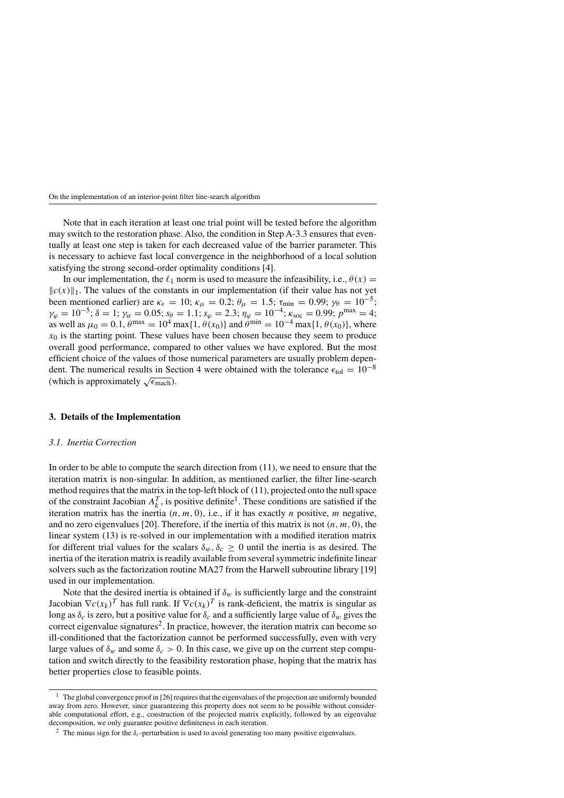Note that in each iteration at least one trial point will be tested before the algorithm may switch to the restoration phase. Also, the condition in Step A-3.3 ensures that eventually at least one step is taken for each decreased value of the barrier parameter. This is necessary to achieve fast local convergence in the neighborhood of a local solution satisfying the strong second-order optimality conditions [4].

In our implementation, the  $\ell_1$  norm is used to measure the infeasibility, i.e.,  $\theta(x)$  =  $\|c(x)\|_1$ . The values of the constants in our implementation (if their value has not yet been mentioned earlier) are  $\kappa_{\epsilon} = 10$ ;  $\kappa_{\mu} = 0.2$ ;  $\theta_{\mu} = 1.5$ ;  $\tau_{\min} = 0.99$ ;  $\gamma_{\theta} = 10^{-5}$ ;  $\gamma_{\varphi} = 10^{-5}$ ;  $\delta = 1$ ;  $\gamma_{\alpha} = 0.05$ ;  $s_{\theta} = 1.1$ ;  $s_{\varphi} = 2.3$ ;  $\eta_{\varphi} = 10^{-4}$ ;  $\kappa_{\text{soc}} = 0.99$ ;  $p^{\text{max}} = 4$ ; as well as  $\mu_0 = 0.1$ ,  $\theta^{\text{max}} = 10^4 \text{ max} \{1, \theta(x_0)\}$  and  $\theta^{\text{min}} = 10^{-4} \text{ max} \{1, \theta(x_0)\}$ , where  $x_0$  is the starting point. These values have been chosen because they seem to produce overall good performance, compared to other values we have explored. But the most efficient choice of the values of those numerical parameters are usually problem dependent. The numerical results in Section 4 were obtained with the tolerance  $\epsilon_{\text{tol}} = 10^{-8}$ (which is approximately  $\sqrt{\epsilon_{\text{mach}}}\$ ).

### **3. Details of the Implementation**

#### *3.1. Inertia Correction*

In order to be able to compute the search direction from (11), we need to ensure that the iteration matrix is non-singular. In addition, as mentioned earlier, the filter line-search method requires that the matrix in the top-left block of (11), projected onto the null space of the constraint Jacobian  $A_k^T$ , is positive definite<sup>1</sup>. These conditions are satisfied if the iteration matrix has the inertia  $(n, m, 0)$ , i.e., if it has exactly *n* positive, *m* negative, and no zero eigenvalues [20]. Therefore, if the inertia of this matrix is not *(n, m,* 0*)*, the linear system (13) is re-solved in our implementation with a modified iteration matrix for different trial values for the scalars  $\delta_w$ ,  $\delta_c \geq 0$  until the inertia is as desired. The inertia of the iteration matrix is readily available from several symmetric indefinite linear solvers such as the factorization routine MA27 from the Harwell subroutine library [19] used in our implementation.

Note that the desired inertia is obtained if  $\delta_w$  is sufficiently large and the constraint Jacobian  $\nabla c(x_k)^T$  has full rank. If  $\nabla c(x_k)^T$  is rank-deficient, the matrix is singular as long as  $\delta_c$  is zero, but a positive value for  $\delta_c$  and a sufficiently large value of  $\delta_w$  gives the correct eigenvalue signatures<sup>2</sup>. In practice, however, the iteration matrix can become so ill-conditioned that the factorization cannot be performed successfully, even with very large values of  $\delta_w$  and some  $\delta_c > 0$ . In this case, we give up on the current step computation and switch directly to the feasibility restoration phase, hoping that the matrix has better properties close to feasible points.

<sup>&</sup>lt;sup>1</sup> The global convergence proof in [26] requires that the eigenvalues of the projection are uniformly bounded away from zero. However, since guaranteeing this property does not seem to be possible without considerable computational effort, e.g., construction of the projected matrix explicitly, followed by an eigenvalue decomposition, we only guarantee positive definiteness in each iteration.

<sup>&</sup>lt;sup>2</sup> The minus sign for the  $\delta_c$ -perturbation is used to avoid generating too many positive eigenvalues.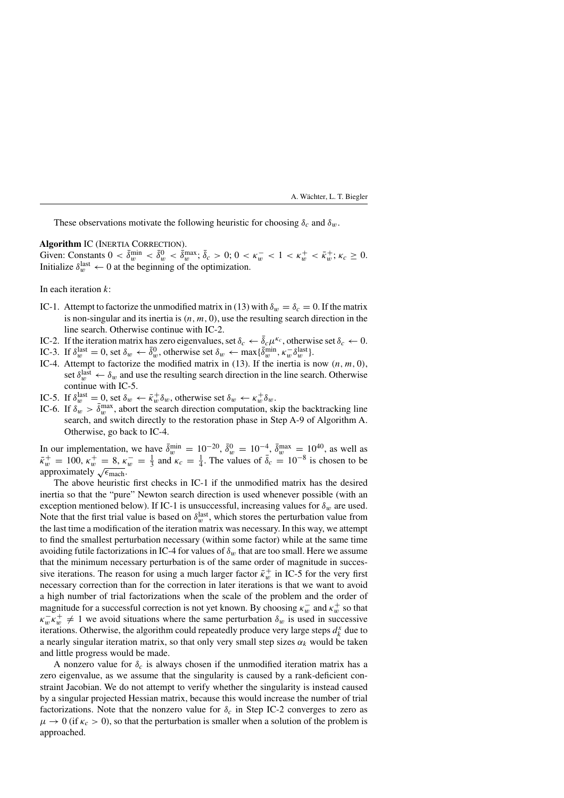These observations motivate the following heuristic for choosing  $\delta_c$  and  $\delta_w$ .

### Algorithm IC (INERTIA CORRECTION).

Given: Constants  $0 < \bar{\delta}_w^{\min} < \bar{\delta}_w^0 < \bar{\delta}_w^{\max}$ ;  $\bar{\delta}_c > 0$ ;  $0 < \kappa_w^- < 1 < \kappa_w^+ < \bar{\kappa}_w^+$ ;  $\kappa_c \ge 0$ . Initialize  $\delta_w^{\text{last}} \leftarrow 0$  at the beginning of the optimization.

In each iteration *k*:

- IC-1. Attempt to factorize the unmodified matrix in (13) with  $\delta_w = \delta_c = 0$ . If the matrix is non-singular and its inertia is  $(n, m, 0)$ , use the resulting search direction in the line search. Otherwise continue with IC-2.
- IC-2. If the iteration matrix has zero eigenvalues, set  $\delta_c \leftarrow \bar{\delta}_c \mu^{\kappa_c}$ , otherwise set  $\delta_c \leftarrow 0$ .
- IC-3. If  $\delta_w^{\text{last}} = 0$ , set  $\delta_w \leftarrow \overline{\delta}_w^0$ , otherwise set  $\delta_w \leftarrow \max{\{\overline{\delta}_w^{\text{min}}, \kappa_w^-\delta_w^{\text{last}}\}}$ .
- IC-4. Attempt to factorize the modified matrix in  $(13)$ . If the inertia is now  $(n, m, 0)$ , set  $\delta_w^{\text{last}} \leftarrow \delta_w$  and use the resulting search direction in the line search. Otherwise continue with IC-5.
- IC-5. If  $\delta_w^{\text{last}} = 0$ , set  $\delta_w \leftarrow \bar{\kappa}_w^+ \delta_w$ , otherwise set  $\delta_w \leftarrow \kappa_w^+ \delta_w$ .
- IC-6. If  $\delta_w^{\omega} > \bar{\delta}_w^{\max}$ , abort the search direction computation, skip the backtracking line search, and switch directly to the restoration phase in Step A-9 of Algorithm A. Otherwise, go back to IC-4.

In our implementation, we have  $\bar{\delta}_w^{\min} = 10^{-20}$ ,  $\bar{\delta}_w^0 = 10^{-4}$ ,  $\bar{\delta}_w^{\max} = 10^{40}$ , as well as  $\bar{\kappa}_w^+ = 100$ ,  $\kappa_w^+ = 8$ ,  $\kappa_w^- = \frac{1}{3}$  and  $\kappa_c = \frac{1}{4}$ . The values of  $\bar{\delta}_c = 10^{-8}$  is chosen to be approximately  $\sqrt{\epsilon_{\text{mach}}}.$ 

The above heuristic first checks in IC-1 if the unmodified matrix has the desired inertia so that the "pure" Newton search direction is used whenever possible (with an exception mentioned below). If IC-1 is unsuccessful, increasing values for  $\delta_w$  are used. Note that the first trial value is based on  $\delta_w^{\text{last}}$ , which stores the perturbation value from the last time a modification of the iteration matrix was necessary. In this way, we attempt to find the smallest perturbation necessary (within some factor) while at the same time avoiding futile factorizations in IC-4 for values of  $\delta_w$  that are too small. Here we assume that the minimum necessary perturbation is of the same order of magnitude in successive iterations. The reason for using a much larger factor  $\bar{\kappa}_w^+$  in IC-5 for the very first necessary correction than for the correction in later iterations is that we want to avoid a high number of trial factorizations when the scale of the problem and the order of magnitude for a successful correction is not yet known. By choosing  $\kappa_w^-$  and  $\kappa_w^+$  so that  $\kappa_w^- \kappa_w^+ \neq 1$  we avoid situations where the same perturbation  $\delta_w$  is used in successive iterations. Otherwise, the algorithm could repeatedly produce very large steps  $d_k^x$  due to a nearly singular iteration matrix, so that only very small step sizes  $\alpha_k$  would be taken and little progress would be made.

A nonzero value for  $\delta_c$  is always chosen if the unmodified iteration matrix has a zero eigenvalue, as we assume that the singularity is caused by a rank-deficient constraint Jacobian. We do not attempt to verify whether the singularity is instead caused by a singular projected Hessian matrix, because this would increase the number of trial factorizations. Note that the nonzero value for  $\delta_c$  in Step IC-2 converges to zero as  $\mu \to 0$  (if  $\kappa_c > 0$ ), so that the perturbation is smaller when a solution of the problem is approached.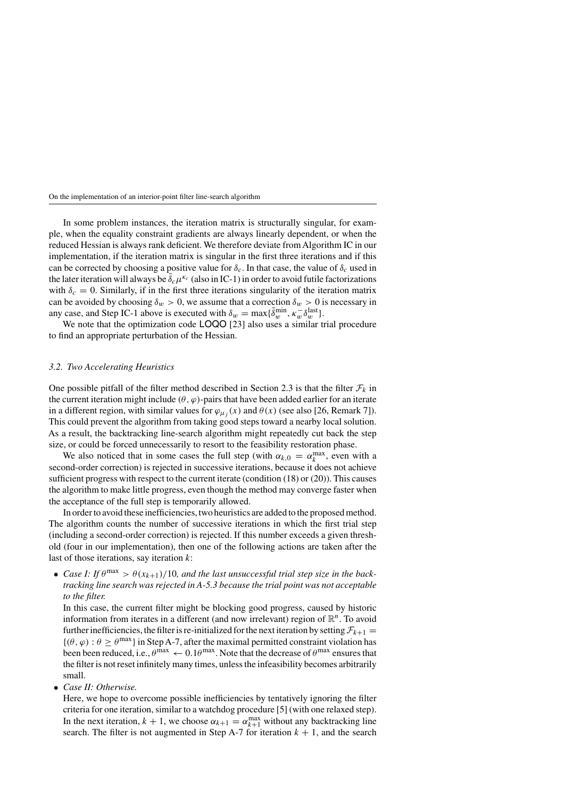In some problem instances, the iteration matrix is structurally singular, for example, when the equality constraint gradients are always linearly dependent, or when the reduced Hessian is always rank deficient. We therefore deviate from Algorithm IC in our implementation, if the iteration matrix is singular in the first three iterations and if this can be corrected by choosing a positive value for  $\delta_c$ . In that case, the value of  $\delta_c$  used in the later iteration will always be  $\bar{\delta}_c \mu^{\kappa_c}$  (also in IC-1) in order to avoid futile factorizations with  $\delta_c = 0$ . Similarly, if in the first three iterations singularity of the iteration matrix can be avoided by choosing  $\delta_w > 0$ , we assume that a correction  $\delta_w > 0$  is necessary in any case, and Step IC-1 above is executed with  $\delta_w = \max{\{\bar{\delta}_w^{\text{min}}, \kappa_w^-\delta_w^{\text{last}}\}}$ .

We note that the optimization code **LOQO** [23] also uses a similar trial procedure to find an appropriate perturbation of the Hessian.

# *3.2. Two Accelerating Heuristics*

One possible pitfall of the filter method described in Section 2.3 is that the filter  $\mathcal{F}_k$  in the current iteration might include  $(\theta, \varphi)$ -pairs that have been added earlier for an iterate in a different region, with similar values for  $\varphi_{\mu}$ ; (x) and  $\theta(x)$  (see also [26, Remark 7]). This could prevent the algorithm from taking good steps toward a nearby local solution. As a result, the backtracking line-search algorithm might repeatedly cut back the step size, or could be forced unnecessarily to resort to the feasibility restoration phase.

We also noticed that in some cases the full step (with  $\alpha_{k,0} = \alpha_k^{\max}$ , even with a second-order correction) is rejected in successive iterations, because it does not achieve sufficient progress with respect to the current iterate (condition (18) or (20)). This causes the algorithm to make little progress, even though the method may converge faster when the acceptance of the full step is temporarily allowed.

In order to avoid these inefficiencies, two heuristics are added to the proposed method. The algorithm counts the number of successive iterations in which the first trial step (including a second-order correction) is rejected. If this number exceeds a given threshold (four in our implementation), then one of the following actions are taken after the last of those iterations, say iteration *k*:

• *Case I: If*  $\theta^{\max} > \theta(x_{k+1})/10$ , and the last unsuccessful trial step size in the back*tracking line search was rejected in A-5.3 because the trial point was not acceptable to the filter.*

In this case, the current filter might be blocking good progress, caused by historic information from iterates in a different (and now irrelevant) region of R*n*. To avoid further inefficiencies, the filter is re-initialized for the next iteration by setting  $\mathcal{F}_{k+1}$  =  $\{(\theta, \varphi) : \theta \geq \theta^{\max}\}\$ in Step A-7, after the maximal permitted constraint violation has been been reduced, i.e.,  $\theta^{\text{max}} \leftarrow 0.1\theta^{\text{max}}$ . Note that the decrease of  $\theta^{\text{max}}$  ensures that the filter is not reset infinitely many times, unless the infeasibility becomes arbitrarily small.

• *Case II: Otherwise.*

Here, we hope to overcome possible inefficiencies by tentatively ignoring the filter criteria for one iteration, similar to a watchdog procedure [5] (with one relaxed step). In the next iteration,  $k + 1$ , we choose  $\alpha_{k+1} = \alpha_{k+1}^{\max}$  without any backtracking line search. The filter is not augmented in Step A-7 for iteration  $k + 1$ , and the search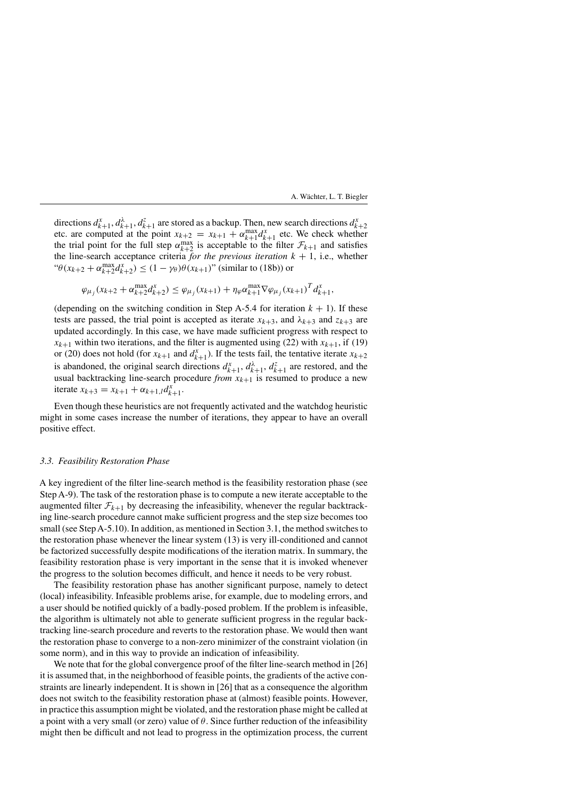directions  $d_{k+1}^x$ ,  $d_{k+1}^z$ ,  $d_{k+1}^z$  are stored as a backup. Then, new search directions  $d_{k+2}^x$ etc. are computed at the point  $x_{k+2} = x_{k+1} + \alpha_{k+1}^{\max} d_{k+1}^x$  etc. We check whether the trial point for the full step  $\alpha_{k+2}^{\max}$  is acceptable to the filter  $\mathcal{F}_{k+1}$  and satisfies the line-search acceptance criteria *for the previous iteration*  $k + 1$ , i.e., whether " $θ(x_{k+2} + α_{k+2}^{\max} d_{k+2}^x) \le (1 - γ_θ)θ(x_{k+1})$ " (similar to (18b)) or

$$
\varphi_{\mu_j}(x_{k+2} + \alpha_{k+2}^{\max} d_{k+2}^x) \leq \varphi_{\mu_j}(x_{k+1}) + \eta_{\varphi} \alpha_{k+1}^{\max} \nabla \varphi_{\mu_j}(x_{k+1})^T d_{k+1}^x,
$$

(depending on the switching condition in Step A-5.4 for iteration  $k + 1$ ). If these tests are passed, the trial point is accepted as iterate  $x_{k+3}$ , and  $\lambda_{k+3}$  and  $z_{k+3}$  are updated accordingly. In this case, we have made sufficient progress with respect to  $x_{k+1}$  within two iterations, and the filter is augmented using (22) with  $x_{k+1}$ , if (19) or (20) does not hold (for  $x_{k+1}$  and  $d_{k+1}^x$ ). If the tests fail, the tentative iterate  $x_{k+2}$ is abandoned, the original search directions  $d_{k+1}^x$ ,  $d_{k+1}^{\lambda}$ ,  $d_{k+1}^z$  are restored, and the usual backtracking line-search procedure  $from x_{k+1}$  is resumed to produce a new iterate  $x_{k+3} = x_{k+1} + \alpha_{k+1,l} d_{k+1}^x$ .

Even though these heuristics are not frequently activated and the watchdog heuristic might in some cases increase the number of iterations, they appear to have an overall positive effect.

### *3.3. Feasibility Restoration Phase*

A key ingredient of the filter line-search method is the feasibility restoration phase (see Step A-9). The task of the restoration phase is to compute a new iterate acceptable to the augmented filter  $\mathcal{F}_{k+1}$  by decreasing the infeasibility, whenever the regular backtracking line-search procedure cannot make sufficient progress and the step size becomes too small (see Step A-5.10). In addition, as mentioned in Section 3.1, the method switches to the restoration phase whenever the linear system (13) is very ill-conditioned and cannot be factorized successfully despite modifications of the iteration matrix. In summary, the feasibility restoration phase is very important in the sense that it is invoked whenever the progress to the solution becomes difficult, and hence it needs to be very robust.

The feasibility restoration phase has another significant purpose, namely to detect (local) infeasibility. Infeasible problems arise, for example, due to modeling errors, and a user should be notified quickly of a badly-posed problem. If the problem is infeasible, the algorithm is ultimately not able to generate sufficient progress in the regular backtracking line-search procedure and reverts to the restoration phase. We would then want the restoration phase to converge to a non-zero minimizer of the constraint violation (in some norm), and in this way to provide an indication of infeasibility.

We note that for the global convergence proof of the filter line-search method in [26] it is assumed that, in the neighborhood of feasible points, the gradients of the active constraints are linearly independent. It is shown in [26] that as a consequence the algorithm does not switch to the feasibility restoration phase at (almost) feasible points. However, in practice this assumption might be violated, and the restoration phase might be called at a point with a very small (or zero) value of *θ*. Since further reduction of the infeasibility might then be difficult and not lead to progress in the optimization process, the current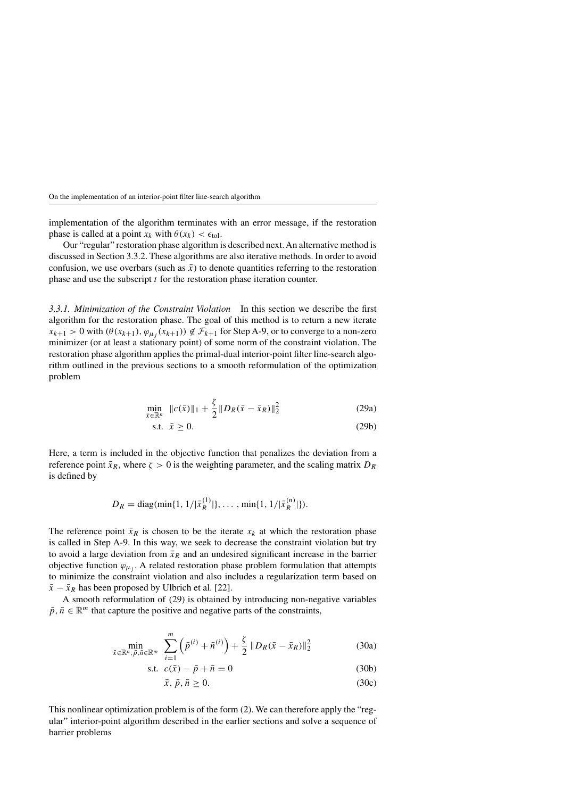implementation of the algorithm terminates with an error message, if the restoration phase is called at a point  $x_k$  with  $\theta(x_k) < \epsilon_{tol}$ .

Our "regular" restoration phase algorithm is described next. An alternative method is discussed in Section 3.3.2. These algorithms are also iterative methods. In order to avoid confusion, we use overbars (such as  $\bar{x}$ ) to denote quantities referring to the restoration phase and use the subscript *t* for the restoration phase iteration counter.

*3.3.1. Minimization of the Constraint Violation* In this section we describe the first algorithm for the restoration phase. The goal of this method is to return a new iterate  $x_{k+1} > 0$  with  $(\theta(x_{k+1}), \varphi_{\mu_i}(x_{k+1})) \notin \mathcal{F}_{k+1}$  for Step A-9, or to converge to a non-zero minimizer (or at least a stationary point) of some norm of the constraint violation. The restoration phase algorithm applies the primal-dual interior-point filter line-search algorithm outlined in the previous sections to a smooth reformulation of the optimization problem

$$
\min_{\bar{x} \in \mathbb{R}^n} \|c(\bar{x})\|_1 + \frac{\zeta}{2} \|D_R(\bar{x} - \bar{x}_R)\|_2^2
$$
\n(29a)

s.t.  $\bar{x} > 0$ . (29b)

Here, a term is included in the objective function that penalizes the deviation from a reference point  $\bar{x}_R$ , where  $\zeta > 0$  is the weighting parameter, and the scaling matrix  $D_R$ is defined by

$$
D_R = \text{diag}(\min\{1, 1/|\bar{x}_R^{(1)}|\}, \dots, \min\{1, 1/|\bar{x}_R^{(n)}|\}).
$$

The reference point  $\bar{x}_R$  is chosen to be the iterate  $x_k$  at which the restoration phase is called in Step A-9. In this way, we seek to decrease the constraint violation but try to avoid a large deviation from  $\bar{x}_R$  and an undesired significant increase in the barrier objective function  $\varphi_{\mu_j}$ . A related restoration phase problem formulation that attempts to minimize the constraint violation and also includes a regularization term based on  $\bar{x} - \bar{x}_R$  has been proposed by Ulbrich et al. [22].

A smooth reformulation of (29) is obtained by introducing non-negative variables  $\bar{p}, \bar{n} \in \mathbb{R}^m$  that capture the positive and negative parts of the constraints,

$$
\min_{\bar{x}\in\mathbb{R}^n,\,\bar{p},\,\bar{n}\in\mathbb{R}^m} \quad \sum_{i=1}^m \left(\bar{p}^{(i)} + \bar{n}^{(i)}\right) + \frac{\zeta}{2} \left\|D_R(\bar{x} - \bar{x}_R)\right\|_2^2 \tag{30a}
$$

s.t. 
$$
c(\bar{x}) - \bar{p} + \bar{n} = 0
$$
 (30b)

$$
\bar{x}, \bar{p}, \bar{n} \ge 0. \tag{30c}
$$

This nonlinear optimization problem is of the form (2). We can therefore apply the "regular" interior-point algorithm described in the earlier sections and solve a sequence of barrier problems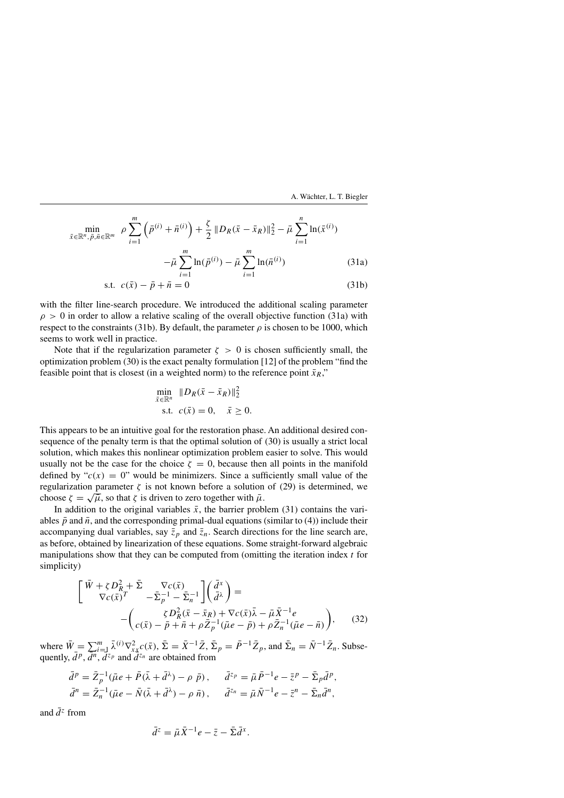$$
\min_{\bar{x} \in \mathbb{R}^n, \, \bar{p}, \bar{n} \in \mathbb{R}^m} \, \rho \sum_{i=1}^m \left( \bar{p}^{(i)} + \bar{n}^{(i)} \right) + \frac{\zeta}{2} \left\| D_R(\bar{x} - \bar{x}_R) \right\|_2^2 - \bar{\mu} \sum_{i=1}^n \ln(\bar{x}^{(i)}) - \bar{\mu} \sum_{i=1}^m \ln(\bar{p}^{(i)}) - \bar{\mu} \sum_{i=1}^m \ln(\bar{n}^{(i)})
$$
(31a)

$$
\text{s.t. } c(\bar{x}) - \bar{p} + \bar{n} = 0 \tag{31b}
$$

with the filter line-search procedure. We introduced the additional scaling parameter  $\rho > 0$  in order to allow a relative scaling of the overall objective function (31a) with respect to the constraints (31b). By default, the parameter  $\rho$  is chosen to be 1000, which seems to work well in practice.

Note that if the regularization parameter  $\zeta > 0$  is chosen sufficiently small, the optimization problem (30) is the exact penalty formulation [12] of the problem "find the feasible point that is closest (in a weighted norm) to the reference point  $\bar{x}_R$ ,"

$$
\min_{\bar{x} \in \mathbb{R}^n} \|D_R(\bar{x} - \bar{x}_R)\|_2^2
$$
  
s.t.  $c(\bar{x}) = 0$ ,  $\bar{x} \ge 0$ .

This appears to be an intuitive goal for the restoration phase. An additional desired consequence of the penalty term is that the optimal solution of (30) is usually a strict local solution, which makes this nonlinear optimization problem easier to solve. This would usually not be the case for the choice  $\zeta = 0$ , because then all points in the manifold defined by " $c(x) = 0$ " would be minimizers. Since a sufficiently small value of the regularization parameter  $\zeta$  is not known before a solution of (29) is determined, we choose  $\zeta = \sqrt{\bar{\mu}}$ , so that  $\zeta$  is driven to zero together with  $\bar{\mu}$ .

In addition to the original variables  $\bar{x}$ , the barrier problem (31) contains the variables  $\bar{p}$  and  $\bar{n}$ , and the corresponding primal-dual equations (similar to (4)) include their accompanying dual variables, say  $\bar{z}_p$  and  $\bar{z}_n$ . Search directions for the line search are, as before, obtained by linearization of these equations. Some straight-forward algebraic manipulations show that they can be computed from (omitting the iteration index *t* for simplicity)

$$
\begin{bmatrix}\n\bar{W} + \zeta D_R^2 + \bar{\Sigma} & \nabla c(\bar{x}) \\
\nabla c(\bar{x})^T & -\bar{\Sigma}_p^{-1} - \bar{\Sigma}_n^{-1}\n\end{bmatrix}\n\begin{pmatrix}\n\bar{d}^x \\
\bar{d}^{\lambda}\n\end{pmatrix} = -\n\begin{pmatrix}\n\zeta D_R^2 (\bar{x} - \bar{x}_R) + \nabla c(\bar{x})\bar{\lambda} - \bar{\mu}\bar{X}^{-1}e \\
c(\bar{x}) - \bar{p} + \bar{n} + \rho \bar{Z}_p^{-1}(\bar{\mu}e - \bar{p}) + \rho \bar{Z}_n^{-1}(\bar{\mu}e - \bar{n})\n\end{pmatrix},
$$
\n(32)

where  $\bar{W} = \sum_{i=1}^{m} \bar{\lambda}^{(i)} \nabla_{xx}^2 c(\bar{x})$ ,  $\bar{\Sigma} = \bar{X}^{-1} \bar{Z}$ ,  $\bar{\Sigma}_p = \bar{P}^{-1} \bar{Z}_p$ , and  $\bar{\Sigma}_n = \bar{N}^{-1} \bar{Z}_n$ . Subsequently,  $\bar{d}^p$ ,  $\bar{d}^n$ ,  $\bar{d}^z{}_p$  and  $\bar{d}^{z_n}$  are obtained from

$$
\bar{d}^p = \bar{Z}_p^{-1}(\bar{\mu}e + \bar{P}(\bar{\lambda} + \bar{d}^{\lambda}) - \rho \bar{p}), \quad \bar{d}^{z_p} = \bar{\mu}\bar{P}^{-1}e - \bar{z}^p - \bar{\Sigma}_p\bar{d}^p,
$$
  

$$
\bar{d}^n = \bar{Z}_n^{-1}(\bar{\mu}e - \bar{N}(\bar{\lambda} + \bar{d}^{\lambda}) - \rho \bar{n}), \quad \bar{d}^{z_n} = \bar{\mu}\bar{N}^{-1}e - \bar{z}^n - \bar{\Sigma}_n\bar{d}^n,
$$

and  $\bar{d}^z$  from

$$
\bar{d}^z = \bar{\mu}\bar{X}^{-1}e - \bar{z} - \bar{\Sigma}\bar{d}^x.
$$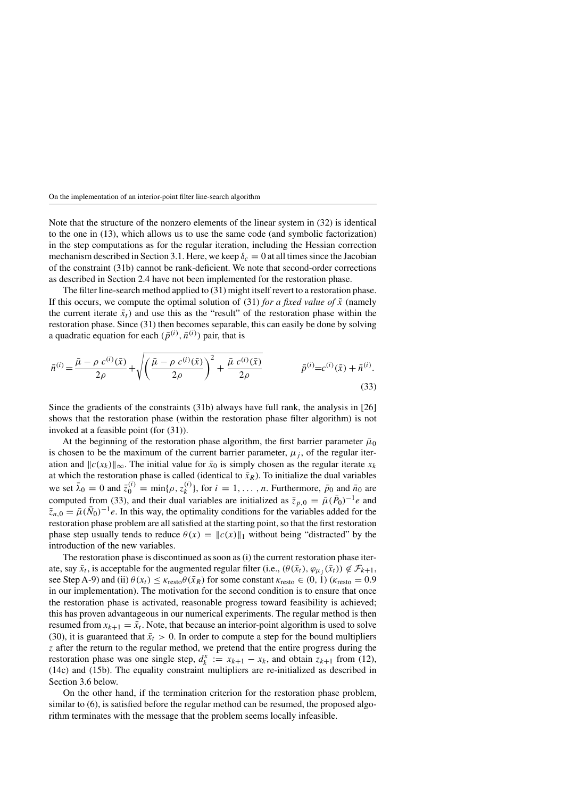Note that the structure of the nonzero elements of the linear system in (32) is identical to the one in (13), which allows us to use the same code (and symbolic factorization) in the step computations as for the regular iteration, including the Hessian correction mechanism described in Section 3.1. Here, we keep  $\delta_c = 0$  at all times since the Jacobian of the constraint (31b) cannot be rank-deficient. We note that second-order corrections as described in Section 2.4 have not been implemented for the restoration phase.

The filter line-search method applied to (31) might itself revert to a restoration phase. If this occurs, we compute the optimal solution of (31) *for a fixed value of*  $\bar{x}$  (namely the current iterate  $\bar{x}_t$ ) and use this as the "result" of the restoration phase within the restoration phase. Since (31) then becomes separable, this can easily be done by solving a quadratic equation for each  $(\bar{p}^{(i)}, \bar{n}^{(i)})$  pair, that is

$$
\bar{n}^{(i)} = \frac{\bar{\mu} - \rho c^{(i)}(\bar{x})}{2\rho} + \sqrt{\left(\frac{\bar{\mu} - \rho c^{(i)}(\bar{x})}{2\rho}\right)^2 + \frac{\bar{\mu} c^{(i)}(\bar{x})}{2\rho}} \qquad \qquad \bar{p}^{(i)} = c^{(i)}(\bar{x}) + \bar{n}^{(i)}.
$$
\n(33)

Since the gradients of the constraints (31b) always have full rank, the analysis in [26] shows that the restoration phase (within the restoration phase filter algorithm) is not invoked at a feasible point (for (31)).

At the beginning of the restoration phase algorithm, the first barrier parameter  $\bar{\mu}_0$ is chosen to be the maximum of the current barrier parameter,  $\mu_i$ , of the regular iteration and  $\|c(x_k)\|_{\infty}$ . The initial value for  $\bar{x}_0$  is simply chosen as the regular iterate  $x_k$ at which the restoration phase is called (identical to  $\bar{x}_R$ ). To initialize the dual variables we set  $\bar{\lambda}_0 = 0$  and  $\bar{z}_0^{(i)} = \min\{\rho, z_k^{(i)}\}$ , for  $i = 1, \ldots, n$ . Furthermore,  $\bar{p}_0$  and  $\bar{n}_0$  are computed from (33), and their dual variables are initialized as  $\bar{z}_{p,0} = \bar{\mu}(\bar{P}_0)^{-1}e$  and  $\bar{z}_{n,0} = \bar{\mu}(\bar{N}_0)^{-1}e$ . In this way, the optimality conditions for the variables added for the restoration phase problem are all satisfied at the starting point, so that the first restoration phase step usually tends to reduce  $\theta(x) = ||c(x)||_1$  without being "distracted" by the introduction of the new variables.

The restoration phase is discontinued as soon as (i) the current restoration phase iterate, say  $\bar{x}_t$ , is acceptable for the augmented regular filter (i.e.,  $(\theta(\bar{x}_t), \varphi_{\mu_i}(\bar{x}_t)) \notin \mathcal{F}_{k+1}$ , see Step A-9) and (ii)  $\theta(x_t) \leq \kappa_{\text{resto}} \theta(\bar{x}_R)$  for some constant  $\kappa_{\text{resto}} \in (0, 1)$  ( $\kappa_{\text{resto}} = 0.9$ ) in our implementation). The motivation for the second condition is to ensure that once the restoration phase is activated, reasonable progress toward feasibility is achieved; this has proven advantageous in our numerical experiments. The regular method is then resumed from  $x_{k+1} = \bar{x}_t$ . Note, that because an interior-point algorithm is used to solve (30), it is guaranteed that  $\bar{x}_t > 0$ . In order to compute a step for the bound multipliers *z* after the return to the regular method, we pretend that the entire progress during the restoration phase was one single step,  $d_k^x := x_{k+1} - x_k$ , and obtain  $z_{k+1}$  from (12), (14c) and (15b). The equality constraint multipliers are re-initialized as described in Section 3.6 below.

On the other hand, if the termination criterion for the restoration phase problem, similar to (6), is satisfied before the regular method can be resumed, the proposed algorithm terminates with the message that the problem seems locally infeasible.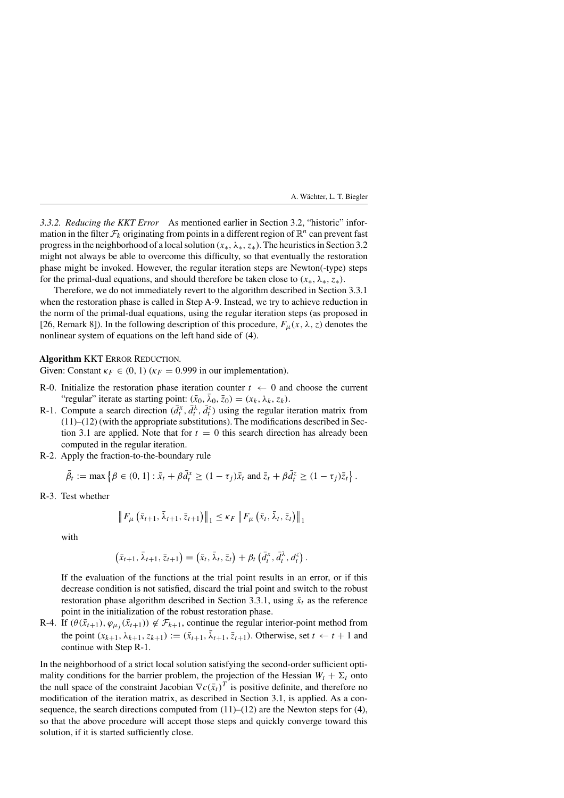*3.3.2. Reducing the KKT Error* As mentioned earlier in Section 3.2, "historic" information in the filter  $\mathcal{F}_k$  originating from points in a different region of  $\mathbb{R}^n$  can prevent fast progress in the neighborhood of a local solution *(x*∗*, λ*∗*, z*∗*)*. The heuristics in Section 3.2 might not always be able to overcome this difficulty, so that eventually the restoration phase might be invoked. However, the regular iteration steps are Newton(-type) steps for the primal-dual equations, and should therefore be taken close to  $(x_*, \lambda_*, z_*,)$ .

Therefore, we do not immediately revert to the algorithm described in Section 3.3.1 when the restoration phase is called in Step A-9. Instead, we try to achieve reduction in the norm of the primal-dual equations, using the regular iteration steps (as proposed in [26, Remark 8]). In the following description of this procedure,  $F_{\mu}(x, \lambda, z)$  denotes the nonlinear system of equations on the left hand side of (4).

# **Algorithm KKT ERROR REDUCTION.**

Given: Constant  $\kappa_F \in (0, 1)$  ( $\kappa_F = 0.999$  in our implementation).

- R-0. Initialize the restoration phase iteration counter  $t \leftarrow 0$  and choose the current "regular" iterate as starting point:  $(\bar{x}_0, \lambda_0, \bar{z}_0) = (x_k, \lambda_k, z_k)$ .
- R-1. Compute a search direction  $(\bar{d}_t^x, \bar{d}_t^{\lambda}, \bar{d}_t^{\lambda})$  using the regular iteration matrix from (11)–(12) (with the appropriate substitutions). The modifications described in Section 3.1 are applied. Note that for  $t = 0$  this search direction has already been computed in the regular iteration.
- R-2. Apply the fraction-to-the-boundary rule

$$
\bar{\beta}_t := \max \left\{ \beta \in (0, 1] : \bar{x}_t + \beta \bar{d}_t^x \ge (1 - \tau_j) \bar{x}_t \text{ and } \bar{z}_t + \beta \bar{d}_t^z \ge (1 - \tau_j) \bar{z}_t \right\}.
$$

R-3. Test whether

$$
\left\|F_{\mu}\left(\bar{x}_{t+1}, \bar{\lambda}_{t+1}, \bar{z}_{t+1}\right)\right\|_{1} \leq \kappa_{F} \left\|F_{\mu}\left(\bar{x}_{t}, \bar{\lambda}_{t}, \bar{z}_{t}\right)\right\|_{1}
$$

with

$$
(\bar{x}_{t+1},\bar{\lambda}_{t+1},\bar{z}_{t+1})=(\bar{x}_t,\bar{\lambda}_t,\bar{z}_t)+\beta_t(\bar{d}_t^x,\bar{d}_t^{\lambda},d_t^z).
$$

If the evaluation of the functions at the trial point results in an error, or if this decrease condition is not satisfied, discard the trial point and switch to the robust restoration phase algorithm described in Section 3.3.1, using  $\bar{x}_t$  as the reference point in the initialization of the robust restoration phase.

R-4. If  $(\theta(\bar{x}_{t+1}), \varphi_{\mu_i}(\bar{x}_{t+1})) \notin \mathcal{F}_{k+1}$ , continue the regular interior-point method from the point  $(x_{k+1}, \lambda_{k+1}, z_{k+1}) := (\bar{x}_{t+1}, \bar{\lambda}_{t+1}, \bar{z}_{t+1})$ . Otherwise, set  $t \leftarrow t+1$  and continue with Step R-1.

In the neighborhood of a strict local solution satisfying the second-order sufficient optimality conditions for the barrier problem, the projection of the Hessian  $W_t + \Sigma_t$  onto the null space of the constraint Jacobian  $\nabla c(\bar{x}_t)^T$  is positive definite, and therefore no modification of the iteration matrix, as described in Section 3.1, is applied. As a consequence, the search directions computed from  $(11)$ – $(12)$  are the Newton steps for  $(4)$ , so that the above procedure will accept those steps and quickly converge toward this solution, if it is started sufficiently close.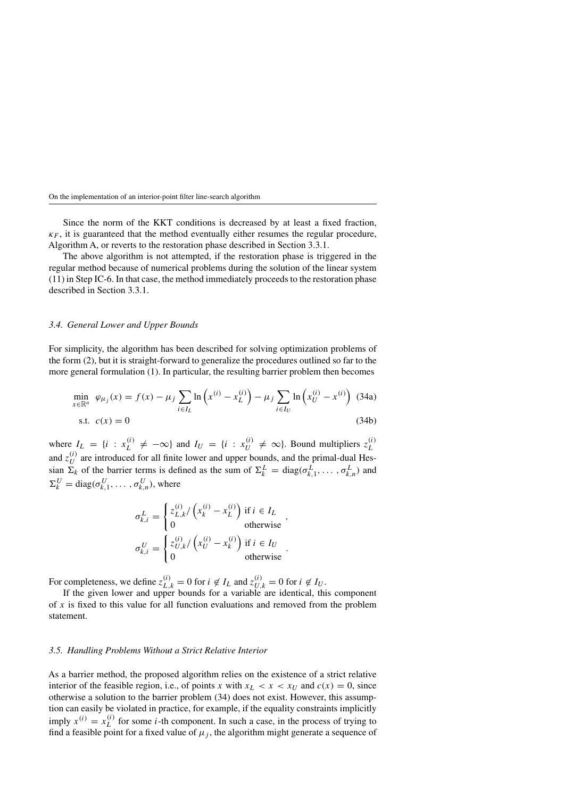Since the norm of the KKT conditions is decreased by at least a fixed fraction,  $\kappa_F$ , it is guaranteed that the method eventually either resumes the regular procedure, Algorithm A, or reverts to the restoration phase described in Section 3.3.1.

The above algorithm is not attempted, if the restoration phase is triggered in the regular method because of numerical problems during the solution of the linear system (11) in Step IC-6. In that case, the method immediately proceeds to the restoration phase described in Section 3.3.1.

### *3.4. General Lower and Upper Bounds*

For simplicity, the algorithm has been described for solving optimization problems of the form (2), but it is straight-forward to generalize the procedures outlined so far to the more general formulation (1). In particular, the resulting barrier problem then becomes

$$
\min_{x \in \mathbb{R}^n} \varphi_{\mu_j}(x) = f(x) - \mu_j \sum_{i \in I_L} \ln \left( x^{(i)} - x_L^{(i)} \right) - \mu_j \sum_{i \in I_U} \ln \left( x_U^{(i)} - x^{(i)} \right) \tag{34a}
$$
\ns.t.

\n
$$
c(x) = 0 \tag{34b}
$$

where  $I_L = \{i : x_L^{(i)} \neq -\infty\}$  and  $I_U = \{i : x_U^{(i)} \neq \infty\}$ . Bound multipliers  $z_L^{(i)}$ *L* and  $z_U^{(i)}$  are introduced for all finite lower and upper bounds, and the primal-dual Hessian  $\Sigma_k$  of the barrier terms is defined as the sum of  $\Sigma_k^L = \text{diag}(\sigma_{k,1}^L, \dots, \sigma_{k,n}^L)$  and  $\Sigma_k^U = \text{diag}(\sigma_{k,1}^U, \dots, \sigma_{k,n}^U)$ , where

$$
\sigma_{k,i}^L = \begin{cases} z_{L,k}^{(i)} / \left( x_k^{(i)} - x_L^{(i)} \right) & \text{if } i \in I_L \\ 0 & \text{otherwise} \end{cases},
$$
\n
$$
\sigma_{k,i}^U = \begin{cases} z_{U,k}^{(i)} / \left( x_U^{(i)} - x_k^{(i)} \right) & \text{if } i \in I_U \\ 0 & \text{otherwise} \end{cases}.
$$

For completeness, we define  $z_{L,k}^{(i)} = 0$  for  $i \notin I_L$  and  $z_{U,k}^{(i)} = 0$  for  $i \notin I_U$ .

If the given lower and upper bounds for a variable are identical, this component of *x* is fixed to this value for all function evaluations and removed from the problem statement.

### *3.5. Handling Problems Without a Strict Relative Interior*

As a barrier method, the proposed algorithm relies on the existence of a strict relative interior of the feasible region, i.e., of points *x* with  $x_L < x < x_U$  and  $c(x) = 0$ , since otherwise a solution to the barrier problem (34) does not exist. However, this assumption can easily be violated in practice, for example, if the equality constraints implicitly imply  $x^{(i)} = x_L^{(i)}$  for some *i*-th component. In such a case, in the process of trying to find a feasible point for a fixed value of  $\mu_i$ , the algorithm might generate a sequence of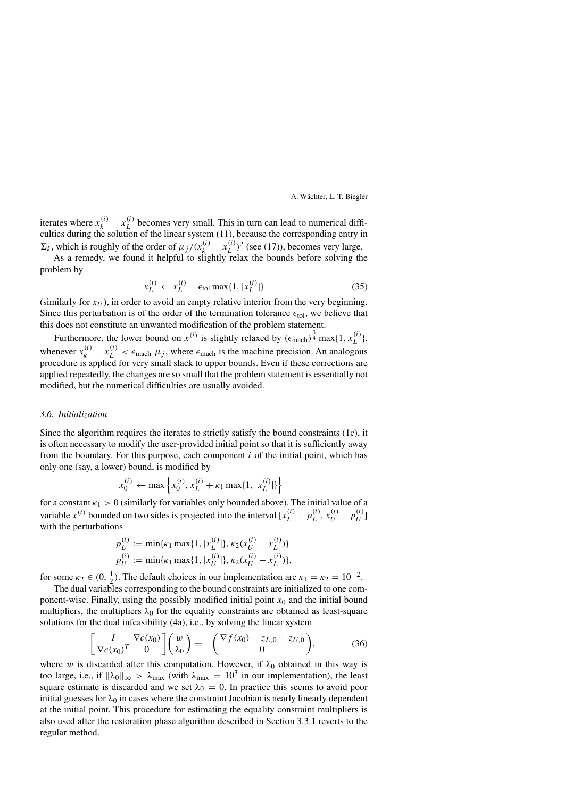iterates where  $x_k^{(i)} - x_L^{(i)}$  becomes very small. This in turn can lead to numerical difficulties during the solution of the linear system (11), because the corresponding entry in  $\Sigma_k$ , which is roughly of the order of  $\mu_j/(x_k^{(i)} - x_L^{(i)})^2$  (see (17)), becomes very large.

As a remedy, we found it helpful to slightly relax the bounds before solving the problem by

$$
x_L^{(i)} \leftarrow x_L^{(i)} - \epsilon_{\text{tol}} \max\{1, |x_L^{(i)}|\} \tag{35}
$$

(similarly for  $x_U$ ), in order to avoid an empty relative interior from the very beginning. Since this perturbation is of the order of the termination tolerance  $\epsilon_{\text{tol}}$ , we believe that this does not constitute an unwanted modification of the problem statement.

Furthermore, the lower bound on  $x^{(i)}$  is slightly relaxed by  $(\epsilon_{\text{mach}})^{\frac{3}{4}} \max\{1, x_L^{(i)}\},$ whenever  $x_k^{(i)} - x_L^{(i)} < \epsilon_{\text{mach}} \mu_j$ , where  $\epsilon_{\text{mach}}$  is the machine precision. An analogous procedure is applied for very small slack to upper bounds. Even if these corrections are applied repeatedly, the changes are so small that the problem statement is essentially not modified, but the numerical difficulties are usually avoided.

# *3.6. Initialization*

Since the algorithm requires the iterates to strictly satisfy the bound constraints (1c), it is often necessary to modify the user-provided initial point so that it is sufficiently away from the boundary. For this purpose, each component *i* of the initial point, which has only one (say, a lower) bound, is modified by

$$
x_0^{(i)} \leftarrow \max \left\{ x_0^{(i)}, x_L^{(i)} + \kappa_1 \max\{1, |x_L^{(i)}|\}\right\}
$$

for a constant  $\kappa_1 > 0$  (similarly for variables only bounded above). The initial value of a variable  $x^{(i)}$  bounded on two sides is projected into the interval  $[x_L^{(i)} + p_L^{(i)}, x_U^{(i)} - p_U^{(i)}]$ with the perturbations

$$
p_L^{(i)} := \min\{\kappa_1 \max\{1, |x_L^{(i)}|\}, \kappa_2(x_U^{(i)} - x_L^{(i)})\}
$$
  

$$
p_U^{(i)} := \min\{\kappa_1 \max\{1, |x_U^{(i)}|\}, \kappa_2(x_U^{(i)} - x_L^{(i)})\},
$$

for some  $\kappa_2 \in (0, \frac{1}{2})$ . The default choices in our implementation are  $\kappa_1 = \kappa_2 = 10^{-2}$ .

The dual variables corresponding to the bound constraints are initialized to one component-wise. Finally, using the possibly modified initial point *x*<sup>0</sup> and the initial bound multipliers, the multipliers  $\lambda_0$  for the equality constraints are obtained as least-square solutions for the dual infeasibility (4a), i.e., by solving the linear system

$$
\begin{bmatrix} I & \nabla c(x_0) \\ \nabla c(x_0)^T & 0 \end{bmatrix} \begin{pmatrix} w \\ \lambda_0 \end{pmatrix} = - \begin{pmatrix} \nabla f(x_0) - z_{L,0} + z_{U,0} \\ 0 \end{pmatrix},
$$
(36)

where *w* is discarded after this computation. However, if  $\lambda_0$  obtained in this way is too large, i.e., if  $\|\lambda_0\|_{\infty} > \lambda_{\max}$  (with  $\lambda_{\max} = 10^3$  in our implementation), the least square estimate is discarded and we set  $\lambda_0 = 0$ . In practice this seems to avoid poor initial guesses for  $\lambda_0$  in cases where the constraint Jacobian is nearly linearly dependent at the initial point. This procedure for estimating the equality constraint multipliers is also used after the restoration phase algorithm described in Section 3.3.1 reverts to the regular method.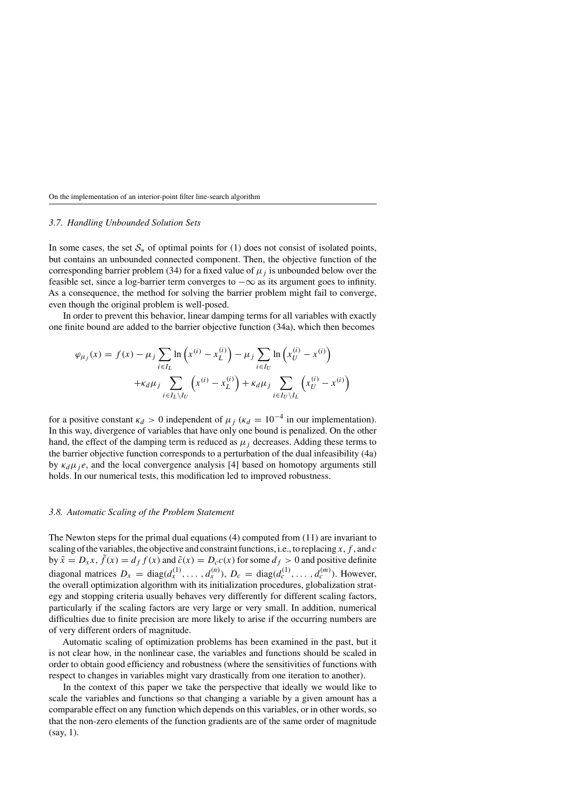### *3.7. Handling Unbounded Solution Sets*

In some cases, the set  $S_*$  of optimal points for (1) does not consist of isolated points, but contains an unbounded connected component. Then, the objective function of the corresponding barrier problem (34) for a fixed value of  $\mu_i$  is unbounded below over the feasible set, since a log-barrier term converges to  $-\infty$  as its argument goes to infinity. As a consequence, the method for solving the barrier problem might fail to converge, even though the original problem is well-posed.

In order to prevent this behavior, linear damping terms for all variables with exactly one finite bound are added to the barrier objective function (34a), which then becomes

$$
\varphi_{\mu_j}(x) = f(x) - \mu_j \sum_{i \in I_L} \ln \left( x^{(i)} - x_L^{(i)} \right) - \mu_j \sum_{i \in I_U} \ln \left( x_U^{(i)} - x^{(i)} \right) + \kappa_d \mu_j \sum_{i \in I_L \setminus I_U} \left( x^{(i)} - x_L^{(i)} \right) + \kappa_d \mu_j \sum_{i \in I_U \setminus I_L} \left( x_U^{(i)} - x^{(i)} \right)
$$

for a positive constant  $\kappa_d > 0$  independent of  $\mu_i$  ( $\kappa_d = 10^{-4}$  in our implementation). In this way, divergence of variables that have only one bound is penalized. On the other hand, the effect of the damping term is reduced as  $\mu_j$  decreases. Adding these terms to the barrier objective function corresponds to a perturbation of the dual infeasibility (4a) by  $\kappa_d \mu_i e$ , and the local convergence analysis [4] based on homotopy arguments still holds. In our numerical tests, this modification led to improved robustness.

### *3.8. Automatic Scaling of the Problem Statement*

The Newton steps for the primal dual equations (4) computed from (11) are invariant to scaling of the variables, the objective and constraint functions, i.e., to replacing *x*, *f* , and *c* by  $\tilde{x} = D_x x$ ,  $\tilde{f}(x) = d_f f(x)$  and  $\tilde{c}(x) = D_c c(x)$  for some  $d_f > 0$  and positive definite diagonal matrices  $D_x = \text{diag}(d_x^{(1)}, \dots, d_x^{(n)})$ ,  $D_c = \text{diag}(d_c^{(1)}, \dots, d_c^{(m)})$ . However, the overall optimization algorithm with its initialization procedures, globalization strategy and stopping criteria usually behaves very differently for different scaling factors, particularly if the scaling factors are very large or very small. In addition, numerical difficulties due to finite precision are more likely to arise if the occurring numbers are of very different orders of magnitude.

Automatic scaling of optimization problems has been examined in the past, but it is not clear how, in the nonlinear case, the variables and functions should be scaled in order to obtain good efficiency and robustness (where the sensitivities of functions with respect to changes in variables might vary drastically from one iteration to another).

In the context of this paper we take the perspective that ideally we would like to scale the variables and functions so that changing a variable by a given amount has a comparable effect on any function which depends on this variables, or in other words, so that the non-zero elements of the function gradients are of the same order of magnitude (say, 1).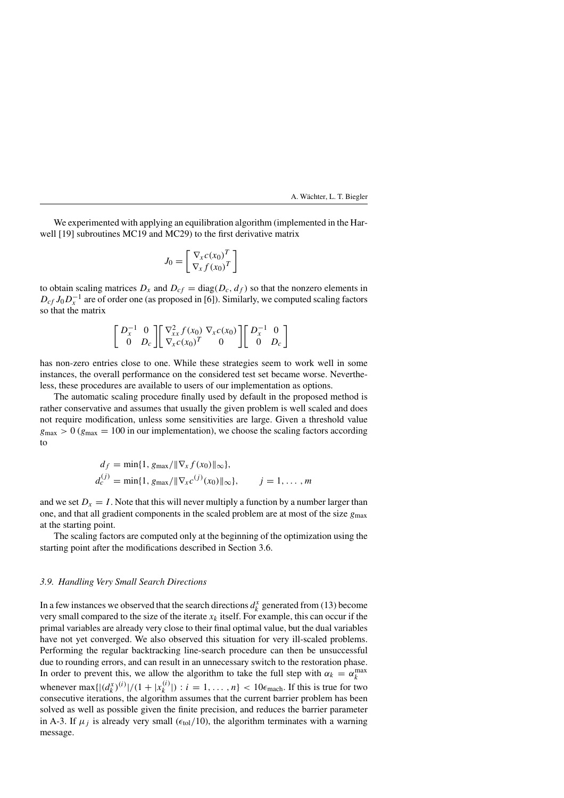We experimented with applying an equilibration algorithm (implemented in the Harwell [19] subroutines MC19 and MC29) to the first derivative matrix

$$
J_0 = \begin{bmatrix} \nabla_x c(x_0)^T \\ \nabla_x f(x_0)^T \end{bmatrix}
$$

to obtain scaling matrices  $D_x$  and  $D_{cf} = \text{diag}(D_c, d_f)$  so that the nonzero elements in  $D_{cf} J_0 D_{r}^{-1}$  are of order one (as proposed in [6]). Similarly, we computed scaling factors so that the matrix

$$
\begin{bmatrix}\nD_x^{-1} & 0 \\
0 & D_c\n\end{bmatrix}\n\begin{bmatrix}\n\nabla_{xx}^2 f(x_0) & \nabla_x c(x_0) \\
\nabla_x c(x_0)^T & 0\n\end{bmatrix}\n\begin{bmatrix}\nD_x^{-1} & 0 \\
0 & D_c\n\end{bmatrix}
$$

has non-zero entries close to one. While these strategies seem to work well in some instances, the overall performance on the considered test set became worse. Nevertheless, these procedures are available to users of our implementation as options.

The automatic scaling procedure finally used by default in the proposed method is rather conservative and assumes that usually the given problem is well scaled and does not require modification, unless some sensitivities are large. Given a threshold value  $g_{\text{max}} > 0$  ( $g_{\text{max}} = 100$  in our implementation), we choose the scaling factors according to

$$
d_f = \min\{1, g_{\max}/\|\nabla_x f(x_0)\|_{\infty}\},
$$
  
\n
$$
d_c^{(j)} = \min\{1, g_{\max}/\|\nabla_x c^{(j)}(x_0)\|_{\infty}\}, \qquad j = 1, ..., m
$$

and we set  $D_x = I$ . Note that this will never multiply a function by a number larger than one, and that all gradient components in the scaled problem are at most of the size  $g_{\text{max}}$ at the starting point.

The scaling factors are computed only at the beginning of the optimization using the starting point after the modifications described in Section 3.6.

### *3.9. Handling Very Small Search Directions*

In a few instances we observed that the search directions  $d_k^x$  generated from (13) become very small compared to the size of the iterate  $x_k$  itself. For example, this can occur if the primal variables are already very close to their final optimal value, but the dual variables have not yet converged. We also observed this situation for very ill-scaled problems. Performing the regular backtracking line-search procedure can then be unsuccessful due to rounding errors, and can result in an unnecessary switch to the restoration phase. In order to prevent this, we allow the algorithm to take the full step with  $\alpha_k = \alpha_k^{\max}$ whenever max $\{|(d_k^x)^{(i)}|/(1+|x_k^{(i)}|): i=1,\ldots,n\}$  < 10 $\epsilon_{\text{mach}}$ . If this is true for two consecutive iterations, the algorithm assumes that the current barrier problem has been solved as well as possible given the finite precision, and reduces the barrier parameter in A-3. If  $\mu_j$  is already very small ( $\epsilon_{\text{tol}}/10$ ), the algorithm terminates with a warning message.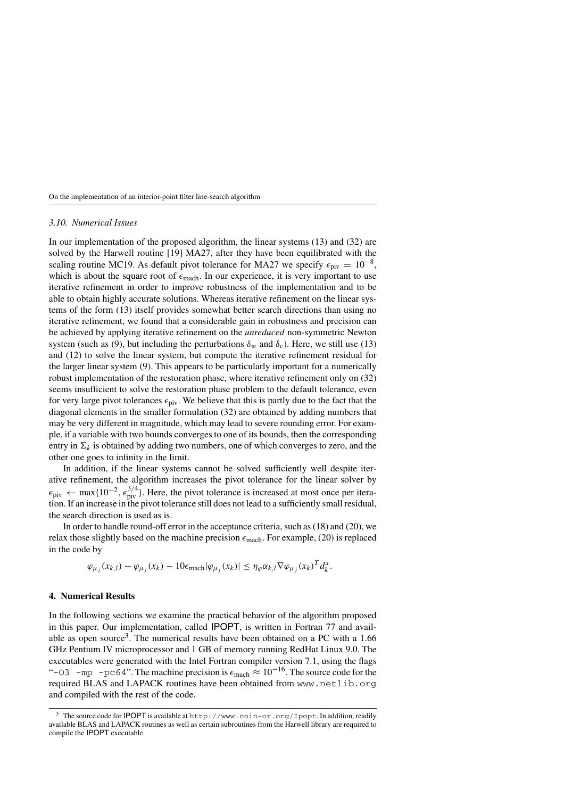### *3.10. Numerical Issues*

In our implementation of the proposed algorithm, the linear systems (13) and (32) are solved by the Harwell routine [19] MA27, after they have been equilibrated with the scaling routine MC19. As default pivot tolerance for MA27 we specify  $\epsilon_{\text{piv}} = 10^{-8}$ , which is about the square root of  $\epsilon_{\text{mach}}$ . In our experience, it is very important to use iterative refinement in order to improve robustness of the implementation and to be able to obtain highly accurate solutions. Whereas iterative refinement on the linear systems of the form (13) itself provides somewhat better search directions than using no iterative refinement, we found that a considerable gain in robustness and precision can be achieved by applying iterative refinement on the *unreduced* non-symmetric Newton system (such as (9), but including the perturbations  $\delta_w$  and  $\delta_c$ ). Here, we still use (13) and (12) to solve the linear system, but compute the iterative refinement residual for the larger linear system (9). This appears to be particularly important for a numerically robust implementation of the restoration phase, where iterative refinement only on (32) seems insufficient to solve the restoration phase problem to the default tolerance, even for very large pivot tolerances  $\epsilon_{\rm piv}$ . We believe that this is partly due to the fact that the diagonal elements in the smaller formulation (32) are obtained by adding numbers that may be very different in magnitude, which may lead to severe rounding error. For example, if a variable with two bounds converges to one of its bounds, then the corresponding entry in  $\Sigma_k$  is obtained by adding two numbers, one of which converges to zero, and the other one goes to infinity in the limit.

In addition, if the linear systems cannot be solved sufficiently well despite iterative refinement, the algorithm increases the pivot tolerance for the linear solver by  $\epsilon_{\rm piv} \leftarrow \max\{10^{-2}, \epsilon_{\rm piv}^{3/4}\}.$  Here, the pivot tolerance is increased at most once per iteration. If an increase in the pivot tolerance still does not lead to a sufficiently small residual, the search direction is used as is.

In order to handle round-off error in the acceptance criteria, such as (18) and (20), we relax those slightly based on the machine precision  $\epsilon_{\text{mach}}$ . For example, (20) is replaced in the code by

$$
\varphi_{\mu_j}(x_{k,l}) - \varphi_{\mu_j}(x_k) - 10\epsilon_{\text{mach}}|\varphi_{\mu_j}(x_k)| \leq \eta_{\varphi}\alpha_{k,l}\nabla\varphi_{\mu_j}(x_k)^T d_k^x.
$$

### **4. Numerical Results**

In the following sections we examine the practical behavior of the algorithm proposed in this paper. Our implementation, called IPOPT, is written in Fortran 77 and available as open source<sup>3</sup>. The numerical results have been obtained on a PC with a  $1.66$ GHz Pentium IV microprocessor and 1 GB of memory running RedHat Linux 9.0. The executables were generated with the Intel Fortran compiler version 7.1, using the flags "-O3 -mp -pc64". The machine precision is  $\epsilon_{\text{mach}} \approx 10^{-16}$ . The source code for the required BLAS and LAPACK routines have been obtained from www.netlib.org and compiled with the rest of the code.

<sup>&</sup>lt;sup>3</sup> The source code for IPOPT is available at http://www.coin-or.org/Ipopt. In addition, readily available BLAS and LAPACK routines as well as certain subroutines from the Harwell library are required to compile the IPOPT executable.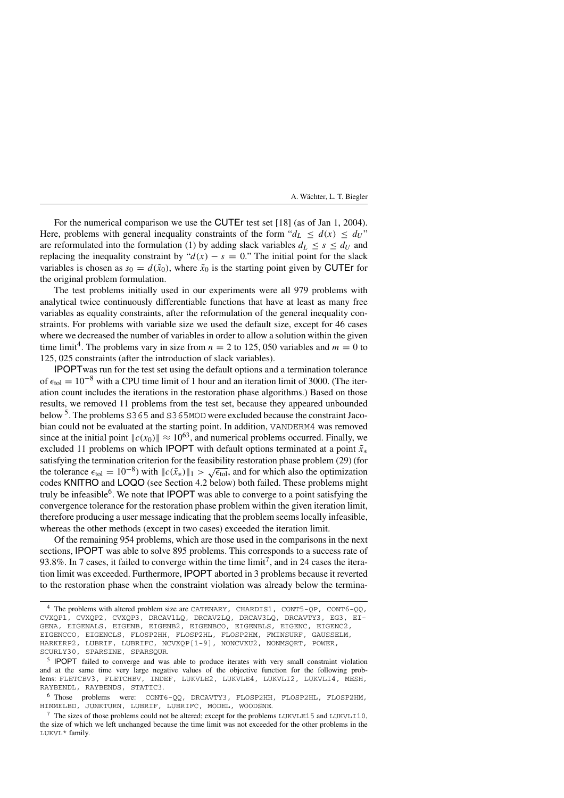For the numerical comparison we use the CUTEr test set [18] (as of Jan 1, 2004). Here, problems with general inequality constraints of the form " $d_L \leq d(x) \leq d_U$ " are reformulated into the formulation (1) by adding slack variables  $d_L \leq s \leq d_U$  and replacing the inequality constraint by " $d(x) - s = 0$ ." The initial point for the slack variables is chosen as  $s_0 = d(\tilde{x}_0)$ , where  $\tilde{x}_0$  is the starting point given by CUTEr for the original problem formulation.

The test problems initially used in our experiments were all 979 problems with analytical twice continuously differentiable functions that have at least as many free variables as equality constraints, after the reformulation of the general inequality constraints. For problems with variable size we used the default size, except for 46 cases where we decreased the number of variables in order to allow a solution within the given time limit<sup>4</sup>. The problems vary in size from  $n = 2$  to 125, 050 variables and  $m = 0$  to 125*,* 025 constraints (after the introduction of slack variables).

IPOPTwas run for the test set using the default options and a termination tolerance of  $\epsilon_{\text{tol}} = 10^{-8}$  with a CPU time limit of 1 hour and an iteration limit of 3000. (The iteration count includes the iterations in the restoration phase algorithms.) Based on those results, we removed 11 problems from the test set, because they appeared unbounded below 5. The problems S365 and S365MOD were excluded because the constraint Jacobian could not be evaluated at the starting point. In addition, VANDERM4 was removed since at the initial point  $\|c(x_0)\| \approx 10^{63}$ , and numerical problems occurred. Finally, we excluded 11 problems on which IPOPT with default options terminated at a point  $\tilde{x}_∗$ satisfying the termination criterion for the feasibility restoration phase problem (29) (for the tolerance  $\epsilon_{\text{tol}} = 10^{-8}$ ) with  $\|c(\tilde{x}_*)\|_1 > \sqrt{\epsilon_{\text{tol}}}$ , and for which also the optimization codes KNITRO and LOQO (see Section 4.2 below) both failed. These problems might truly be infeasible $6$ . We note that **IPOPT** was able to converge to a point satisfying the convergence tolerance for the restoration phase problem within the given iteration limit, therefore producing a user message indicating that the problem seems locally infeasible, whereas the other methods (except in two cases) exceeded the iteration limit.

Of the remaining 954 problems, which are those used in the comparisons in the next sections, IPOPT was able to solve 895 problems. This corresponds to a success rate of 93.8%. In 7 cases, it failed to converge within the time limit<sup>7</sup>, and in 24 cases the iteration limit was exceeded. Furthermore, IPOPT aborted in 3 problems because it reverted to the restoration phase when the constraint violation was already below the termina-

<sup>4</sup> The problems with altered problem size are CATENARY, CHARDIS1, CONT5-QP, CONT6-QQ, CVXQP1, CVXQP2, CVXQP3, DRCAV1LQ, DRCAV2LQ, DRCAV3LQ, DRCAVTY3, EG3, EI-GENA, EIGENALS, EIGENB, EIGENB2, EIGENBCO, EIGENBLS, EIGENC, EIGENC2, EIGENCCO, EIGENCLS, FLOSP2HH, FLOSP2HL, FLOSP2HM, FMINSURF, GAUSSELM, HARKERP2, LUBRIF, LUBRIFC, NCVXQP[1-9], NONCVXU2, NONMSQRT, POWER, SCURLY30, SPARSINE, SPARSQUR.

<sup>&</sup>lt;sup>5</sup> IPOPT failed to converge and was able to produce iterates with very small constraint violation and at the same time very large negative values of the objective function for the following problems: FLETCBV3, FLETCHBV, INDEF, LUKVLE2, LUKVLE4, LUKVLI2, LUKVLI4, MESH, RAYBENDL, RAYBENDS, STATIC3.

<sup>6</sup> Those problems were: CONT6-QQ, DRCAVTY3, FLOSP2HH, FLOSP2HL, FLOSP2HM, HIMMELBD, JUNKTURN, LUBRIF, LUBRIFC, MODEL, WOODSNE.

<sup>7</sup> The sizes of those problems could not be altered; except for the problems LUKVLE15 and LUKVLI10, the size of which we left unchanged because the time limit was not exceeded for the other problems in the LUKVL\* family.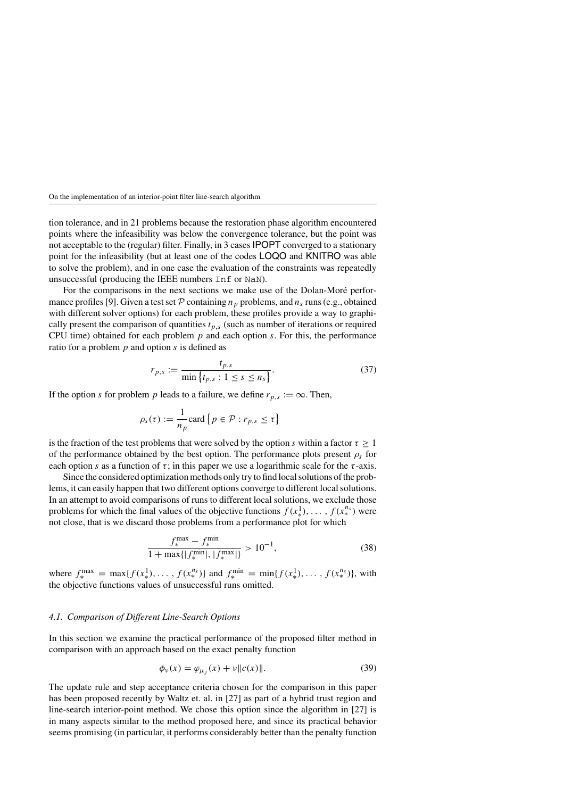tion tolerance, and in 21 problems because the restoration phase algorithm encountered points where the infeasibility was below the convergence tolerance, but the point was not acceptable to the (regular) filter. Finally, in 3 cases IPOPT converged to a stationary point for the infeasibility (but at least one of the codes LOQO and KNITRO was able to solve the problem), and in one case the evaluation of the constraints was repeatedly unsuccessful (producing the IEEE numbers Inf or NaN).

For the comparisons in the next sections we make use of the Dolan-Moré performance profiles [9]. Given a test set  $P$  containing  $n_p$  problems, and  $n_s$  runs (e.g., obtained with different solver options) for each problem, these profiles provide a way to graphically present the comparison of quantities  $t_{p,s}$  (such as number of iterations or required CPU time) obtained for each problem *p* and each option *s*. For this, the performance ratio for a problem *p* and option *s* is defined as

$$
r_{p,s} := \frac{t_{p,s}}{\min\{t_{p,s} : 1 \le s \le n_s\}}.\tag{37}
$$

If the option *s* for problem *p* leads to a failure, we define  $r_{p,s} := \infty$ . Then,

$$
\rho_s(\tau) := \frac{1}{n_p} \text{card} \left\{ p \in \mathcal{P} : r_{p,s} \le \tau \right\}
$$

is the fraction of the test problems that were solved by the option *s* within a factor  $\tau \geq 1$ of the performance obtained by the best option. The performance plots present  $\rho_s$  for each option *s* as a function of  $\tau$ ; in this paper we use a logarithmic scale for the  $\tau$ -axis.

Since the considered optimization methods only try to find local solutions of the problems, it can easily happen that two different options converge to different local solutions. In an attempt to avoid comparisons of runs to different local solutions, we exclude those problems for which the final values of the objective functions  $f(x^1_*,), \ldots, f(x^{n_s}_*)$  were not close, that is we discard those problems from a performance plot for which

$$
\frac{f_*^{\max} - f_*^{\min}}{1 + \max\{|f_*^{\min}|, |f_*^{\max}|\}} > 10^{-1},\tag{38}
$$

where  $f_*^{\max} = \max\{f(x_*^1), \ldots, f(x_*^{n_s})\}$  and  $f_*^{\min} = \min\{f(x_*^1), \ldots, f(x_*^{n_s})\}$ , with the objective functions values of unsuccessful runs omitted.

### *4.1. Comparison of Different Line-Search Options*

In this section we examine the practical performance of the proposed filter method in comparison with an approach based on the exact penalty function

$$
\phi_{\nu}(x) = \varphi_{\mu_j}(x) + \nu \|c(x)\|.
$$
\n(39)

The update rule and step acceptance criteria chosen for the comparison in this paper has been proposed recently by Waltz et. al. in [27] as part of a hybrid trust region and line-search interior-point method. We chose this option since the algorithm in [27] is in many aspects similar to the method proposed here, and since its practical behavior seems promising (in particular, it performs considerably better than the penalty function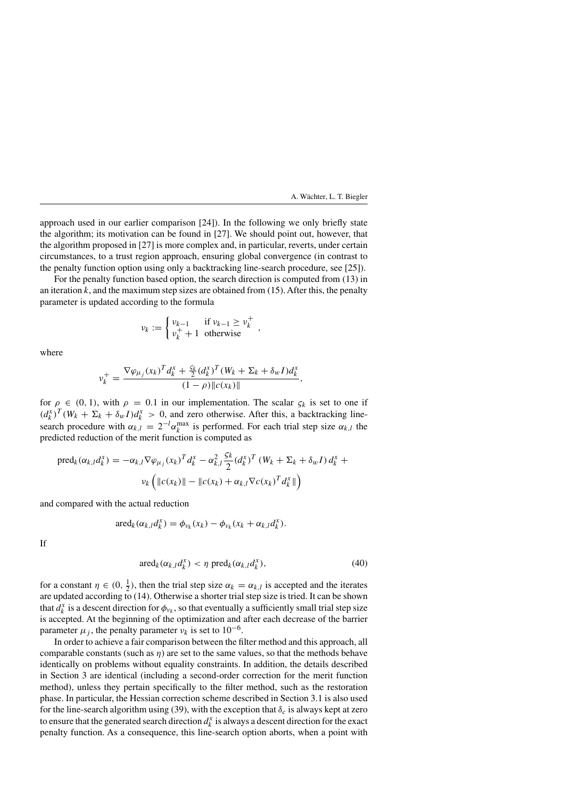approach used in our earlier comparison [24]). In the following we only briefly state the algorithm; its motivation can be found in [27]. We should point out, however, that the algorithm proposed in [27] is more complex and, in particular, reverts, under certain circumstances, to a trust region approach, ensuring global convergence (in contrast to the penalty function option using only a backtracking line-search procedure, see [25]).

For the penalty function based option, the search direction is computed from (13) in an iteration  $k$ , and the maximum step sizes are obtained from  $(15)$ . After this, the penalty parameter is updated according to the formula

$$
\nu_k := \begin{cases} \nu_{k-1} & \text{if } \nu_{k-1} \ge \nu_k^+ \\ \nu_k^+ + 1 & \text{otherwise} \end{cases}
$$

where

$$
v_k^+ = \frac{\nabla \varphi_{\mu_j}(x_k)^T d_k^x + \frac{5k}{2} (d_k^x)^T (W_k + \Sigma_k + \delta_w I) d_k^x}{(1 - \rho) \|c(x_k)\|},
$$

for  $\rho \in (0, 1)$ , with  $\rho = 0.1$  in our implementation. The scalar  $\varsigma_k$  is set to one if  $(d_k^x)^T (W_k + \Sigma_k + \delta_w I) d_k^x > 0$ , and zero otherwise. After this, a backtracking linesearch procedure with  $\alpha_{k,l} = 2^{-l} \alpha_k^{\max}$  is performed. For each trial step size  $\alpha_{k,l}$  the predicted reduction of the merit function is computed as

$$
\text{pred}_{k}(\alpha_{k,l}d_{k}^{x}) = -\alpha_{k,l}\nabla\varphi_{\mu_{j}}(x_{k})^{T}d_{k}^{x} - \alpha_{k,l}^{2}\frac{5k}{2}(d_{k}^{x})^{T}(W_{k} + \Sigma_{k} + \delta_{w}I)d_{k}^{x} + \nu_{k}\left(\Vert c(x_{k})\Vert - \Vert c(x_{k}) + \alpha_{k,l}\nabla c(x_{k})^{T}d_{k}^{x}\Vert\right)
$$

and compared with the actual reduction

$$
\operatorname{ared}_k(\alpha_{k,l}d_k^x) = \phi_{\nu_k}(x_k) - \phi_{\nu_k}(x_k + \alpha_{k,l}d_k^x).
$$

If

$$
\operatorname{ared}_k(\alpha_{k,l}d_k^x) < \eta \operatorname{pred}_k(\alpha_{k,l}d_k^x),\tag{40}
$$

for a constant  $\eta \in (0, \frac{1}{2})$ , then the trial step size  $\alpha_k = \alpha_{k,l}$  is accepted and the iterates are updated according to (14). Otherwise a shorter trial step size is tried. It can be shown that  $d_k^x$  is a descent direction for  $\phi_{\nu_k}$ , so that eventually a sufficiently small trial step size is accepted. At the beginning of the optimization and after each decrease of the barrier parameter  $\mu_j$ , the penalty parameter  $\nu_k$  is set to 10<sup>-6</sup>.

In order to achieve a fair comparison between the filter method and this approach, all comparable constants (such as *η*) are set to the same values, so that the methods behave identically on problems without equality constraints. In addition, the details described in Section 3 are identical (including a second-order correction for the merit function method), unless they pertain specifically to the filter method, such as the restoration phase. In particular, the Hessian correction scheme described in Section 3.1 is also used for the line-search algorithm using (39), with the exception that  $\delta_c$  is always kept at zero to ensure that the generated search direction  $d_k^x$  is always a descent direction for the exact penalty function. As a consequence, this line-search option aborts, when a point with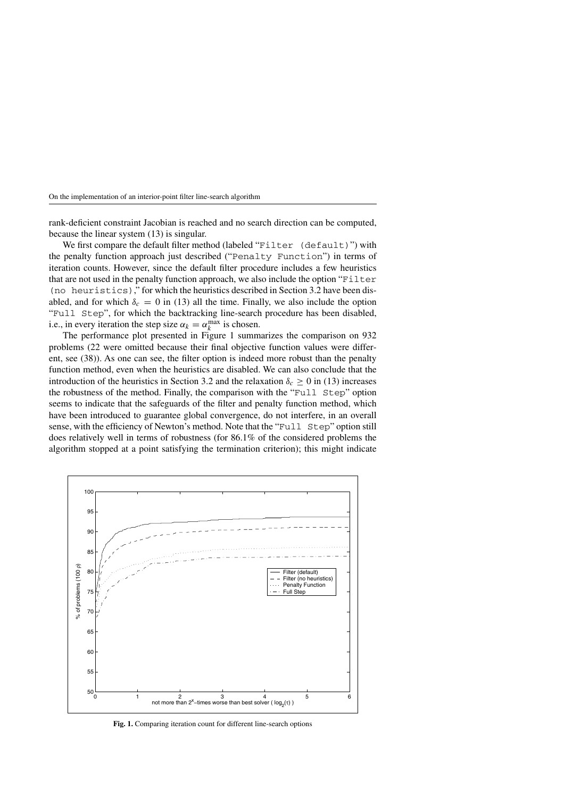rank-deficient constraint Jacobian is reached and no search direction can be computed, because the linear system (13) is singular.

We first compare the default filter method (labeled "Filter (default)") with the penalty function approach just described ("Penalty Function") in terms of iteration counts. However, since the default filter procedure includes a few heuristics that are not used in the penalty function approach, we also include the option "Filter (no heuristics)," for which the heuristics described in Section 3.2 have been disabled, and for which  $\delta_c = 0$  in (13) all the time. Finally, we also include the option "Full Step", for which the backtracking line-search procedure has been disabled, i.e., in every iteration the step size  $\alpha_k = \alpha_k^{\max}$  is chosen.

The performance plot presented in Figure 1 summarizes the comparison on 932 problems (22 were omitted because their final objective function values were different, see (38)). As one can see, the filter option is indeed more robust than the penalty function method, even when the heuristics are disabled. We can also conclude that the introduction of the heuristics in Section 3.2 and the relaxation  $\delta_c \geq 0$  in (13) increases the robustness of the method. Finally, the comparison with the "Full Step" option seems to indicate that the safeguards of the filter and penalty function method, which have been introduced to guarantee global convergence, do not interfere, in an overall sense, with the efficiency of Newton's method. Note that the "Full Step" option still does relatively well in terms of robustness (for 86.1% of the considered problems the algorithm stopped at a point satisfying the termination criterion); this might indicate



**Fig. 1.** Comparing iteration count for different line-search options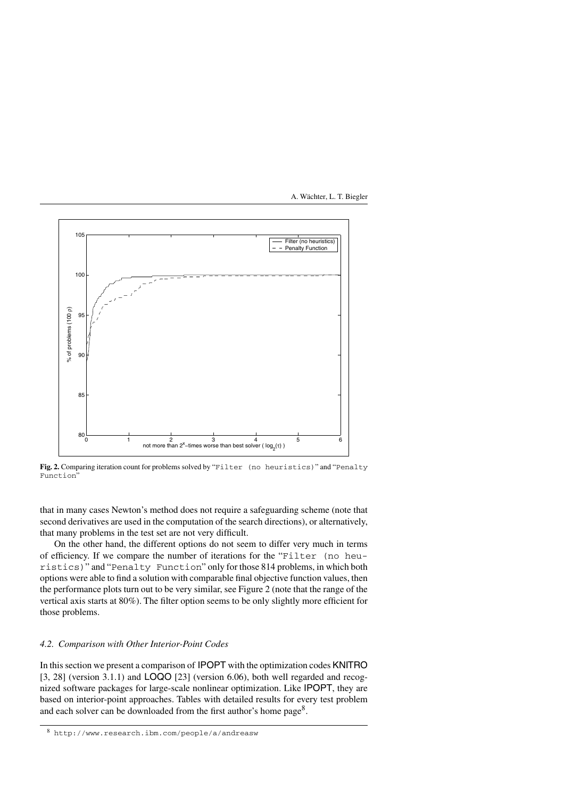

**Fig. 2.** Comparing iteration count for problems solved by "Filter (no heuristics)" and "Penalty Function"

that in many cases Newton's method does not require a safeguarding scheme (note that second derivatives are used in the computation of the search directions), or alternatively, that many problems in the test set are not very difficult.

On the other hand, the different options do not seem to differ very much in terms of efficiency. If we compare the number of iterations for the "Filter (no heuristics)" and "Penalty Function" only for those 814 problems, in which both options were able to find a solution with comparable final objective function values, then the performance plots turn out to be very similar, see Figure 2 (note that the range of the vertical axis starts at 80%). The filter option seems to be only slightly more efficient for those problems.

### *4.2. Comparison with Other Interior-Point Codes*

In this section we present a comparison of IPOPT with the optimization codes KNITRO [3, 28] (version 3.1.1) and LOQO [23] (version 6.06), both well regarded and recognized software packages for large-scale nonlinear optimization. Like IPOPT, they are based on interior-point approaches. Tables with detailed results for every test problem and each solver can be downloaded from the first author's home page<sup>8</sup>.

<sup>8</sup> http://www.research.ibm.com/people/a/andreasw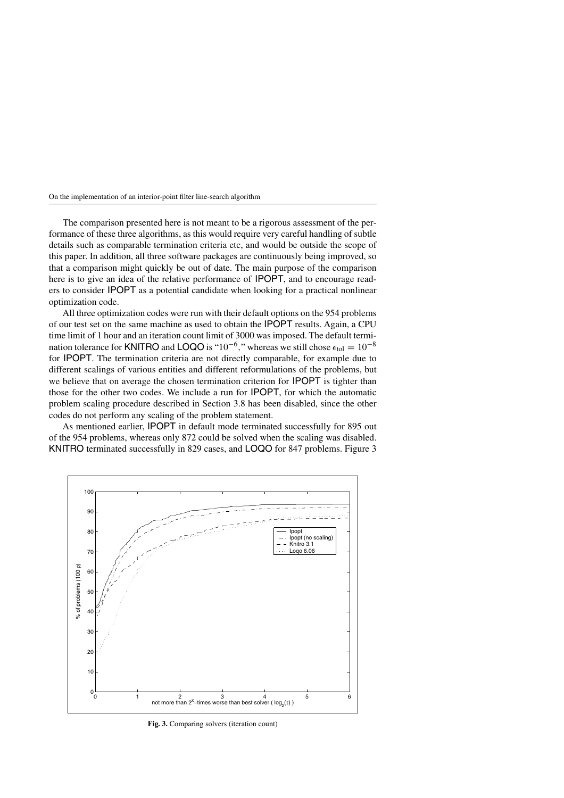The comparison presented here is not meant to be a rigorous assessment of the performance of these three algorithms, as this would require very careful handling of subtle details such as comparable termination criteria etc, and would be outside the scope of this paper. In addition, all three software packages are continuously being improved, so that a comparison might quickly be out of date. The main purpose of the comparison here is to give an idea of the relative performance of IPOPT, and to encourage readers to consider IPOPT as a potential candidate when looking for a practical nonlinear optimization code.

All three optimization codes were run with their default options on the 954 problems of our test set on the same machine as used to obtain the IPOPT results. Again, a CPU time limit of 1 hour and an iteration count limit of 3000 was imposed. The default termination tolerance for KNITRO and LOQO is "10<sup>-6</sup>," whereas we still chose  $\epsilon_{tol} = 10^{-8}$ for IPOPT. The termination criteria are not directly comparable, for example due to different scalings of various entities and different reformulations of the problems, but we believe that on average the chosen termination criterion for IPOPT is tighter than those for the other two codes. We include a run for IPOPT, for which the automatic problem scaling procedure described in Section 3.8 has been disabled, since the other codes do not perform any scaling of the problem statement.

As mentioned earlier, IPOPT in default mode terminated successfully for 895 out of the 954 problems, whereas only 872 could be solved when the scaling was disabled. KNITRO terminated successfully in 829 cases, and LOQO for 847 problems. Figure 3



**Fig. 3.** Comparing solvers (iteration count)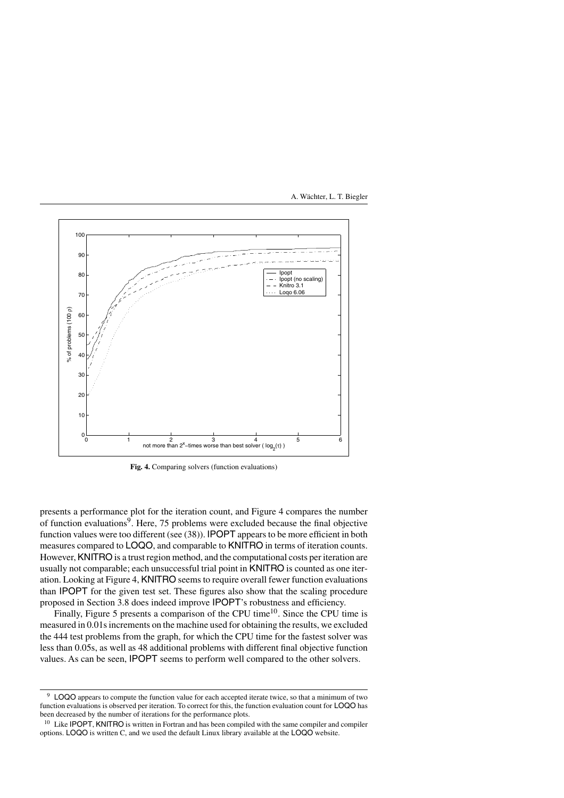

**Fig. 4.** Comparing solvers (function evaluations)

presents a performance plot for the iteration count, and Figure 4 compares the number of function evaluations9. Here, 75 problems were excluded because the final objective function values were too different (see (38)). IPOPT appears to be more efficient in both measures compared to LOQO, and comparable to KNITRO in terms of iteration counts. However, KNITRO is a trust region method, and the computational costs per iteration are usually not comparable; each unsuccessful trial point in KNITRO is counted as one iteration. Looking at Figure 4, KNITRO seems to require overall fewer function evaluations than IPOPT for the given test set. These figures also show that the scaling procedure proposed in Section 3.8 does indeed improve IPOPT's robustness and efficiency.

Finally, Figure 5 presents a comparison of the CPU time<sup>10</sup>. Since the CPU time is measured in 0.01s increments on the machine used for obtaining the results, we excluded the 444 test problems from the graph, for which the CPU time for the fastest solver was less than 0.05s, as well as 48 additional problems with different final objective function values. As can be seen, IPOPT seems to perform well compared to the other solvers.

<sup>&</sup>lt;sup>9</sup> LOQO appears to compute the function value for each accepted iterate twice, so that a minimum of two function evaluations is observed per iteration. To correct for this, the function evaluation count for LOQO has been decreased by the number of iterations for the performance plots.

<sup>&</sup>lt;sup>10</sup> Like **IPOPT**, **KNITRO** is written in Fortran and has been compiled with the same compiler and compiler options. LOQO is written C, and we used the default Linux library available at the LOQO website.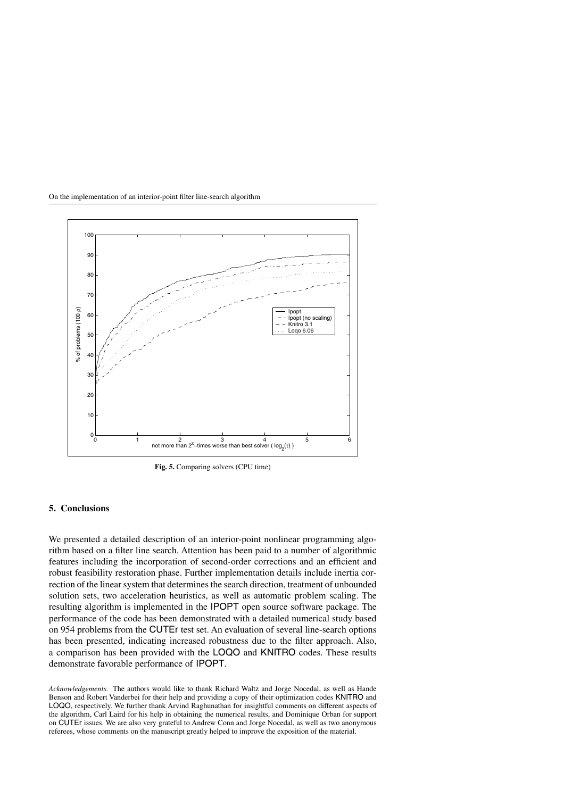

**Fig. 5.** Comparing solvers (CPU time)

## **5. Conclusions**

We presented a detailed description of an interior-point nonlinear programming algorithm based on a filter line search. Attention has been paid to a number of algorithmic features including the incorporation of second-order corrections and an efficient and robust feasibility restoration phase. Further implementation details include inertia correction of the linear system that determines the search direction, treatment of unbounded solution sets, two acceleration heuristics, as well as automatic problem scaling. The resulting algorithm is implemented in the IPOPT open source software package. The performance of the code has been demonstrated with a detailed numerical study based on 954 problems from the CUTEr test set. An evaluation of several line-search options has been presented, indicating increased robustness due to the filter approach. Also, a comparison has been provided with the LOQO and KNITRO codes. These results demonstrate favorable performance of IPOPT.

*Acknowledgements.* The authors would like to thank Richard Waltz and Jorge Nocedal, as well as Hande Benson and Robert Vanderbei for their help and providing a copy of their optimization codes KNITRO and LOQO, respectively. We further thank Arvind Raghunathan for insightful comments on different aspects of the algorithm, Carl Laird for his help in obtaining the numerical results, and Dominique Orban for support on CUTEr issues. We are also very grateful to Andrew Conn and Jorge Nocedal, as well as two anonymous referees, whose comments on the manuscript greatly helped to improve the exposition of the material.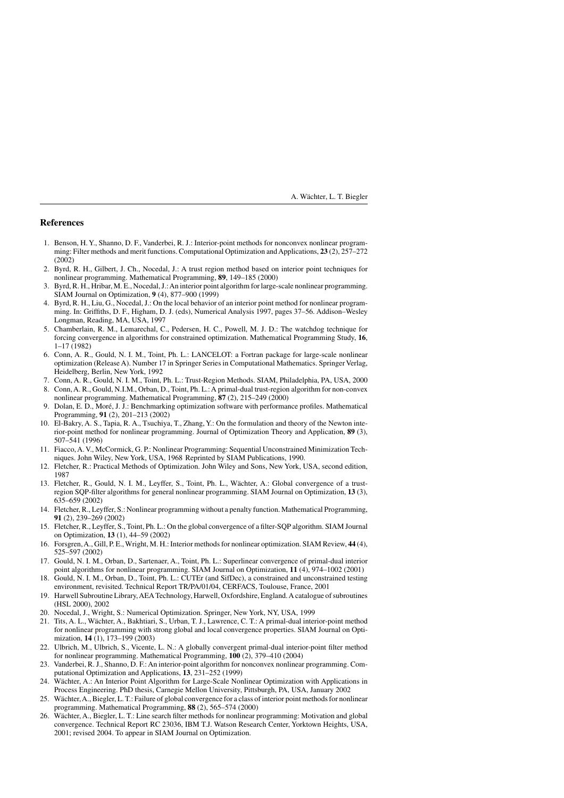## **References**

- 1. Benson, H. Y., Shanno, D. F., Vanderbei, R. J.: Interior-point methods for nonconvex nonlinear programming: Filter methods and merit functions. Computational Optimization and Applications, **23** (2), 257–272 (2002)
- 2. Byrd, R. H., Gilbert, J. Ch., Nocedal, J.: A trust region method based on interior point techniques for nonlinear programming. Mathematical Programming, **89**, 149–185 (2000)
- 3. Byrd, R. H., Hribar, M. E., Nocedal, J.:An interior point algorithm for large-scale nonlinear programming. SIAM Journal on Optimization, **9** (4), 877–900 (1999)
- 4. Byrd, R. H., Liu, G., Nocedal, J.: On the local behavior of an interior point method for nonlinear programming. In: Griffiths, D. F., Higham, D. J. (eds), Numerical Analysis 1997, pages 37–56. Addison–Wesley Longman, Reading, MA, USA, 1997
- 5. Chamberlain, R. M., Lemarechal, C., Pedersen, H. C., Powell, M. J. D.: The watchdog technique for forcing convergence in algorithms for constrained optimization. Mathematical Programming Study, **16**, 1–17 (1982)
- 6. Conn, A. R., Gould, N. I. M., Toint, Ph. L.: LANCELOT: a Fortran package for large-scale nonlinear optimization (Release A). Number 17 in Springer Series in Computational Mathematics. Springer Verlag, Heidelberg, Berlin, New York, 1992
- 7. Conn, A. R., Gould, N. I. M., Toint, Ph. L.: Trust-Region Methods. SIAM, Philadelphia, PA, USA, 2000
- 8. Conn, A. R., Gould, N.I.M., Orban, D., Toint, Ph. L.: A primal-dual trust-region algorithm for non-convex nonlinear programming. Mathematical Programming, **87** (2), 215–249 (2000)
- 9. Dolan, E. D., Moré, J. J.: Benchmarking optimization software with performance profiles. Mathematical Programming, **91** (2), 201–213 (2002)
- 10. El-Bakry, A. S., Tapia, R. A., Tsuchiya, T., Zhang, Y.: On the formulation and theory of the Newton interior-point method for nonlinear programming. Journal of Optimization Theory and Application, **89** (3), 507–541 (1996)
- 11. Fiacco, A. V., McCormick, G. P.: Nonlinear Programming: Sequential Unconstrained Minimization Techniques. John Wiley, New York, USA, 1968 Reprinted by SIAM Publications, 1990.
- 12. Fletcher, R.: Practical Methods of Optimization. John Wiley and Sons, New York, USA, second edition, 1987
- 13. Fletcher, R., Gould, N. I. M., Leyffer, S., Toint, Ph. L., W¨achter, A.: Global convergence of a trustregion SQP-filter algorithms for general nonlinear programming. SIAM Journal on Optimization, **13** (3), 635–659 (2002)
- 14. Fletcher, R., Leyffer, S.: Nonlinear programming without a penalty function. Mathematical Programming, **91** (2), 239–269 (2002)
- 15. Fletcher, R., Leyffer, S., Toint, Ph. L.: On the global convergence of a filter-SQP algorithm. SIAM Journal on Optimization, **13** (1), 44–59 (2002)
- 16. Forsgren,A., Gill, P. E., Wright, M. H.: Interior methods for nonlinear optimization. SIAM Review, **44** (4), 525–597 (2002)
- 17. Gould, N. I. M., Orban, D., Sartenaer, A., Toint, Ph. L.: Superlinear convergence of primal-dual interior point algorithms for nonlinear programming. SIAM Journal on Optimization, **11** (4), 974–1002 (2001)
- 18. Gould, N. I. M., Orban, D., Toint, Ph. L.: CUTEr (and SifDec), a constrained and unconstrained testing environment, revisited. Technical Report TR/PA/01/04, CERFACS, Toulouse, France, 2001
- 19. Harwell Subroutine Library,AEA Technology, Harwell, Oxfordshire, England.A catalogue of subroutines (HSL 2000), 2002
- 20. Nocedal, J., Wright, S.: Numerical Optimization. Springer, New York, NY, USA, 1999
- 21. Tits, A. L., W¨achter, A., Bakhtiari, S., Urban, T. J., Lawrence, C. T.: A primal-dual interior-point method for nonlinear programming with strong global and local convergence properties. SIAM Journal on Optimization, **14** (1), 173–199 (2003)
- 22. Ulbrich, M., Ulbrich, S., Vicente, L. N.: A globally convergent primal-dual interior-point filter method for nonlinear programming. Mathematical Programming, **100** (2), 379–410 (2004)
- 23. Vanderbei, R. J., Shanno, D. F.: An interior-point algorithm for nonconvex nonlinear programming. Computational Optimization and Applications, **13**, 231–252 (1999)
- 24. Wächter, A.: An Interior Point Algorithm for Large-Scale Nonlinear Optimization with Applications in Process Engineering. PhD thesis, Carnegie Mellon University, Pittsburgh, PA, USA, January 2002
- 25. Wächter, A., Biegler, L. T.: Failure of global convergence for a class of interior point methods for nonlinear programming. Mathematical Programming, **88** (2), 565–574 (2000)
- 26. Wächter, A., Biegler, L. T.: Line search filter methods for nonlinear programming: Motivation and global convergence. Technical Report RC 23036, IBM T.J. Watson Research Center, Yorktown Heights, USA, 2001; revised 2004. To appear in SIAM Journal on Optimization.